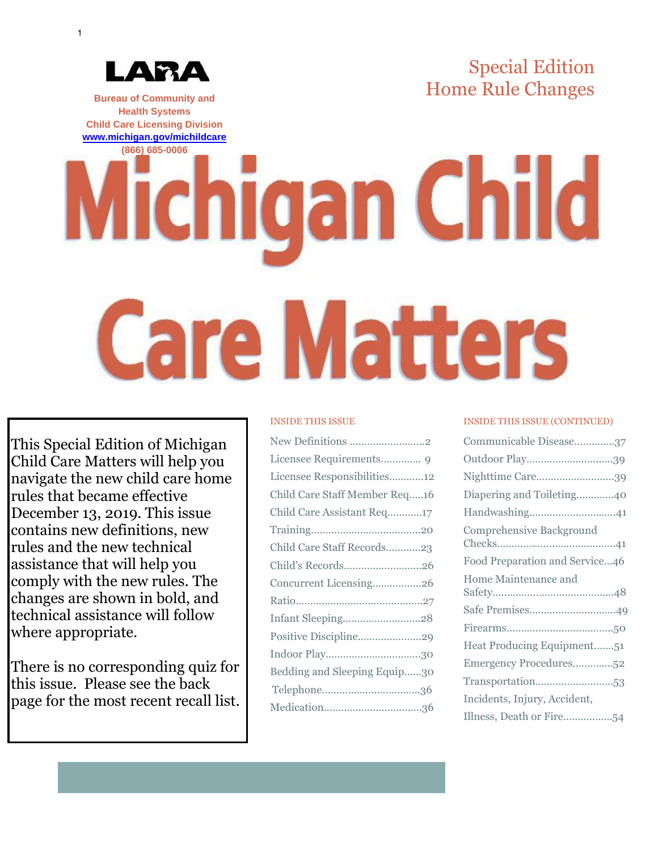# Special Edition Home Rule Changes **Bureau of Community and**

**Health Systems Child Care Licensing Division [www.michigan.gov/michildcare](http://www.michigan.gov/michildcare)**

ДЯД

# **(866) 685-0006 Michigan Child Care Matters**

This Special Edition of Michigan Child Care Matters will help you navigate the new child care home rules that became effective December 13, 2019. This issue contains new definitions, new rules and the new technical assistance that will help you comply with the new rules. The changes are shown in bold, and technical assistance will follow where appropriate.

There is no corresponding quiz for this issue. Please see the back page for the most recent recall list.

### INSIDE THIS ISSUE

| New Definitions 2             |
|-------------------------------|
| Licensee Requirements 9       |
| Licensee Responsibilities12   |
| Child Care Staff Member Req16 |
| Child Care Assistant Req17    |
|                               |
| Child Care Staff Records23    |
| Child's Records26             |
| Concurrent Licensing26        |
|                               |
| Infant Sleeping28             |
| Positive Discipline29         |
|                               |
| Bedding and Sleeping Equip30  |
|                               |
|                               |

### INSIDE THIS ISSUE (CONTINUED)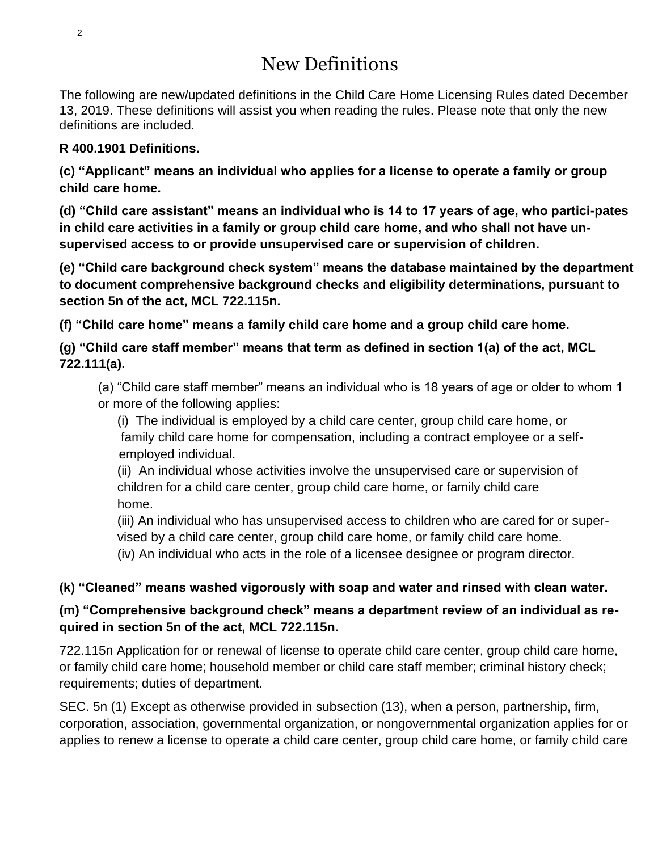# New Definitions

The following are new/updated definitions in the Child Care Home Licensing Rules dated December 13, 2019. These definitions will assist you when reading the rules. Please note that only the new definitions are included.

### **R 400.1901 Definitions.**

**(c) "Applicant" means an individual who applies for a license to operate a family or group child care home.**

**(d) "Child care assistant" means an individual who is 14 to 17 years of age, who partici-pates in child care activities in a family or group child care home, and who shall not have unsupervised access to or provide unsupervised care or supervision of children.**

**(e) "Child care background check system" means the database maintained by the department to document comprehensive background checks and eligibility determinations, pursuant to section 5n of the act, MCL 722.115n.**

**(f) "Child care home" means a family child care home and a group child care home.**

**(g) "Child care staff member" means that term as defined in section 1(a) of the act, MCL 722.111(a).**

(a) "Child care staff member" means an individual who is 18 years of age or older to whom 1 or more of the following applies:

(i) The individual is employed by a child care center, group child care home, or family child care home for compensation, including a contract employee or a self employed individual.

(ii) An individual whose activities involve the unsupervised care or supervision of children for a child care center, group child care home, or family child care home.

(iii) An individual who has unsupervised access to children who are cared for or supervised by a child care center, group child care home, or family child care home.

(iv) An individual who acts in the role of a licensee designee or program director.

### **(k) "Cleaned" means washed vigorously with soap and water and rinsed with clean water.**

### **(m) "Comprehensive background check" means a department review of an individual as required in section 5n of the act, MCL 722.115n.**

722.115n Application for or renewal of license to operate child care center, group child care home, or family child care home; household member or child care staff member; criminal history check; requirements; duties of department.

SEC. 5n (1) Except as otherwise provided in subsection (13), when a person, partnership, firm, corporation, association, governmental organization, or nongovernmental organization applies for or applies to renew a license to operate a child care center, group child care home, or family child care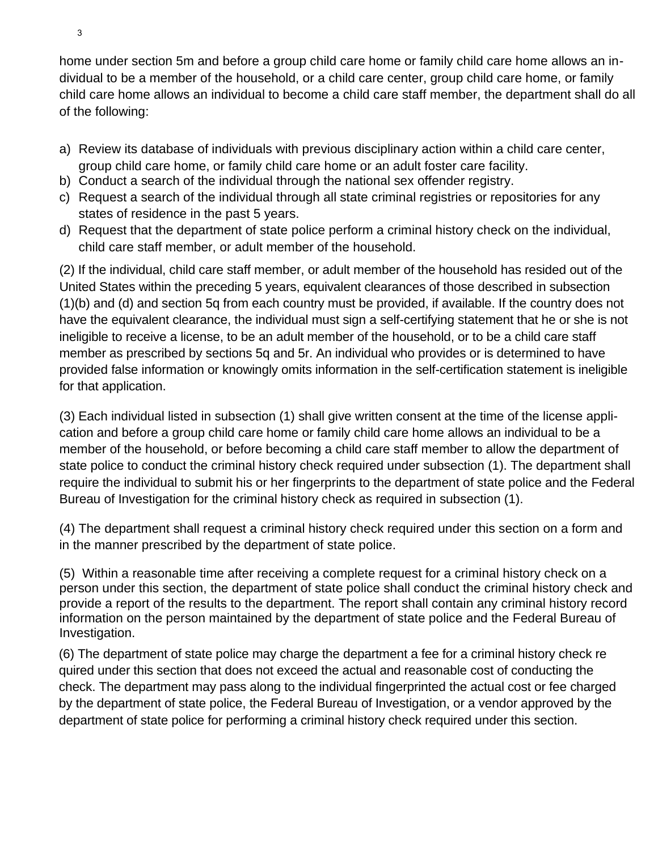home under section 5m and before a group child care home or family child care home allows an individual to be a member of the household, or a child care center, group child care home, or family child care home allows an individual to become a child care staff member, the department shall do all of the following:

- a) Review its database of individuals with previous disciplinary action within a child care center, group child care home, or family child care home or an adult foster care facility.
- b) Conduct a search of the individual through the national sex offender registry.
- c) Request a search of the individual through all state criminal registries or repositories for any states of residence in the past 5 years.
- d) Request that the department of state police perform a criminal history check on the individual, child care staff member, or adult member of the household.

(2) If the individual, child care staff member, or adult member of the household has resided out of the United States within the preceding 5 years, equivalent clearances of those described in subsection (1)(b) and (d) and section 5q from each country must be provided, if available. If the country does not have the equivalent clearance, the individual must sign a self-certifying statement that he or she is not ineligible to receive a license, to be an adult member of the household, or to be a child care staff member as prescribed by sections 5q and 5r. An individual who provides or is determined to have provided false information or knowingly omits information in the self-certification statement is ineligible for that application.

(3) Each individual listed in subsection (1) shall give written consent at the time of the license application and before a group child care home or family child care home allows an individual to be a member of the household, or before becoming a child care staff member to allow the department of state police to conduct the criminal history check required under subsection (1). The department shall require the individual to submit his or her fingerprints to the department of state police and the Federal Bureau of Investigation for the criminal history check as required in subsection (1).

(4) The department shall request a criminal history check required under this section on a form and in the manner prescribed by the department of state police.

(5) Within a reasonable time after receiving a complete request for a criminal history check on a person under this section, the department of state police shall conduct the criminal history check and provide a report of the results to the department. The report shall contain any criminal history record information on the person maintained by the department of state police and the Federal Bureau of Investigation.

(6) The department of state police may charge the department a fee for a criminal history check re quired under this section that does not exceed the actual and reasonable cost of conducting the check. The department may pass along to the individual fingerprinted the actual cost or fee charged by the department of state police, the Federal Bureau of Investigation, or a vendor approved by the department of state police for performing a criminal history check required under this section.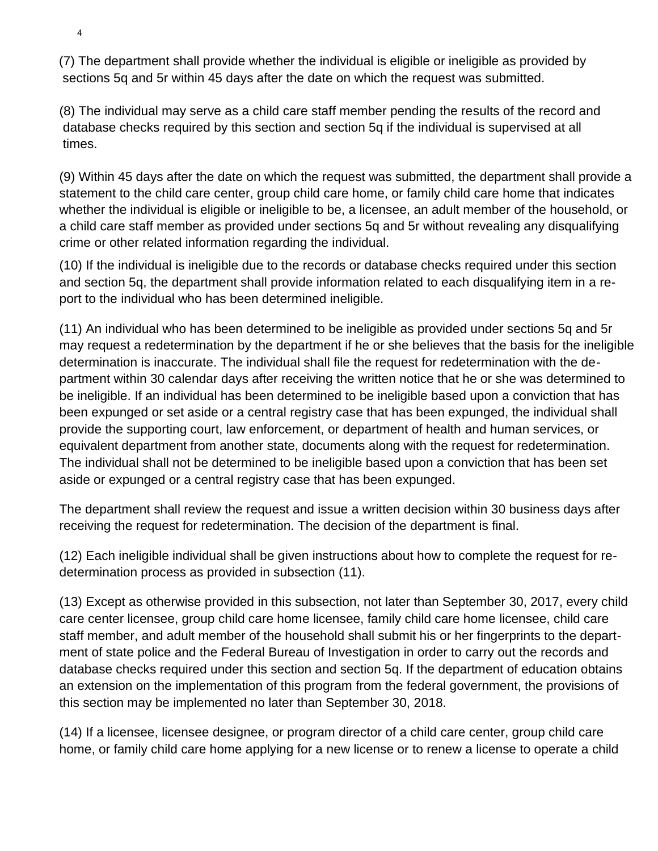(7) The department shall provide whether the individual is eligible or ineligible as provided by sections 5q and 5r within 45 days after the date on which the request was submitted.

(8) The individual may serve as a child care staff member pending the results of the record and database checks required by this section and section 5q if the individual is supervised at all times.

(9) Within 45 days after the date on which the request was submitted, the department shall provide a statement to the child care center, group child care home, or family child care home that indicates whether the individual is eligible or ineligible to be, a licensee, an adult member of the household, or a child care staff member as provided under sections 5q and 5r without revealing any disqualifying crime or other related information regarding the individual.

(10) If the individual is ineligible due to the records or database checks required under this section and section 5q, the department shall provide information related to each disqualifying item in a report to the individual who has been determined ineligible.

(11) An individual who has been determined to be ineligible as provided under sections 5q and 5r may request a redetermination by the department if he or she believes that the basis for the ineligible determination is inaccurate. The individual shall file the request for redetermination with the department within 30 calendar days after receiving the written notice that he or she was determined to be ineligible. If an individual has been determined to be ineligible based upon a conviction that has been expunged or set aside or a central registry case that has been expunged, the individual shall provide the supporting court, law enforcement, or department of health and human services, or equivalent department from another state, documents along with the request for redetermination. The individual shall not be determined to be ineligible based upon a conviction that has been set aside or expunged or a central registry case that has been expunged.

The department shall review the request and issue a written decision within 30 business days after receiving the request for redetermination. The decision of the department is final.

(12) Each ineligible individual shall be given instructions about how to complete the request for redetermination process as provided in subsection (11).

(13) Except as otherwise provided in this subsection, not later than September 30, 2017, every child care center licensee, group child care home licensee, family child care home licensee, child care staff member, and adult member of the household shall submit his or her fingerprints to the department of state police and the Federal Bureau of Investigation in order to carry out the records and database checks required under this section and section 5q. If the department of education obtains an extension on the implementation of this program from the federal government, the provisions of this section may be implemented no later than September 30, 2018.

(14) If a licensee, licensee designee, or program director of a child care center, group child care home, or family child care home applying for a new license or to renew a license to operate a child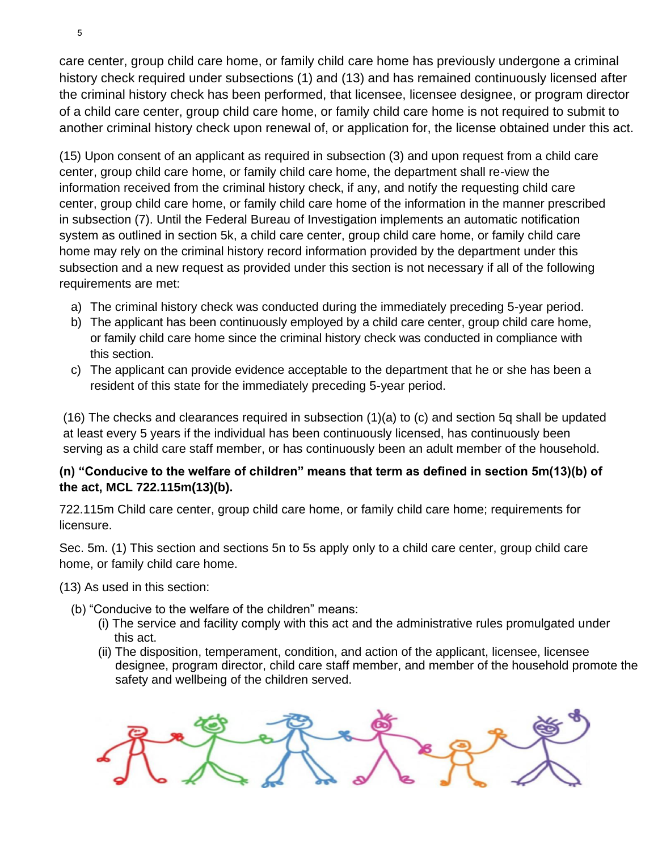care center, group child care home, or family child care home has previously undergone a criminal history check required under subsections (1) and (13) and has remained continuously licensed after the criminal history check has been performed, that licensee, licensee designee, or program director of a child care center, group child care home, or family child care home is not required to submit to another criminal history check upon renewal of, or application for, the license obtained under this act.

(15) Upon consent of an applicant as required in subsection (3) and upon request from a child care center, group child care home, or family child care home, the department shall re-view the information received from the criminal history check, if any, and notify the requesting child care center, group child care home, or family child care home of the information in the manner prescribed in subsection (7). Until the Federal Bureau of Investigation implements an automatic notification system as outlined in section 5k, a child care center, group child care home, or family child care home may rely on the criminal history record information provided by the department under this subsection and a new request as provided under this section is not necessary if all of the following requirements are met:

- a) The criminal history check was conducted during the immediately preceding 5-year period.
- b) The applicant has been continuously employed by a child care center, group child care home, or family child care home since the criminal history check was conducted in compliance with this section.
- c) The applicant can provide evidence acceptable to the department that he or she has been a resident of this state for the immediately preceding 5-year period.

(16) The checks and clearances required in subsection (1)(a) to (c) and section 5q shall be updated at least every 5 years if the individual has been continuously licensed, has continuously been serving as a child care staff member, or has continuously been an adult member of the household.

### **(n) "Conducive to the welfare of children" means that term as defined in section 5m(13)(b) of the act, MCL 722.115m(13)(b).**

722.115m Child care center, group child care home, or family child care home; requirements for licensure.

Sec. 5m. (1) This section and sections 5n to 5s apply only to a child care center, group child care home, or family child care home.

(13) As used in this section:

- (b) "Conducive to the welfare of the children" means:
	- (i) The service and facility comply with this act and the administrative rules promulgated under this act.
	- (ii) The disposition, temperament, condition, and action of the applicant, licensee, licensee designee, program director, child care staff member, and member of the household promote the safety and wellbeing of the children served.

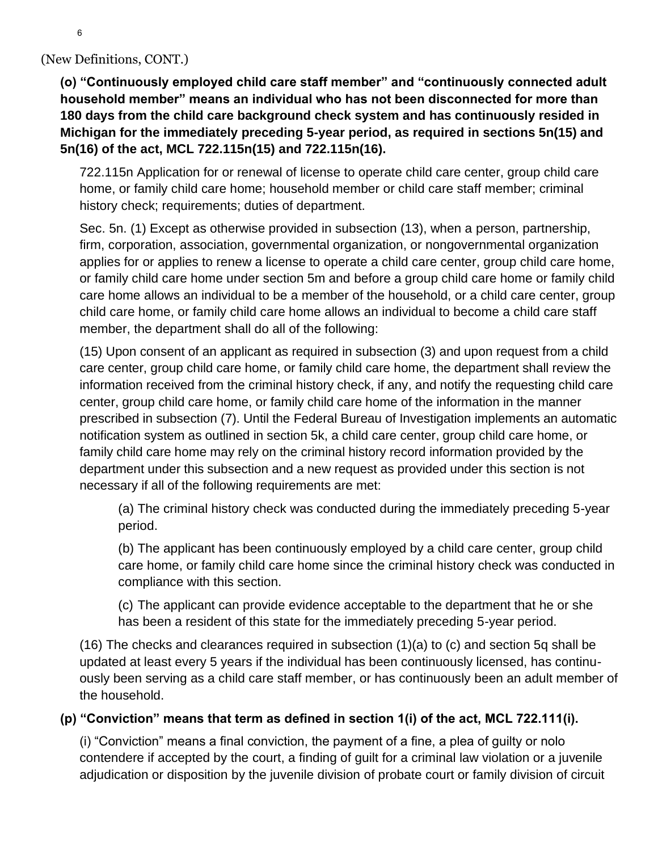### (New Definitions, CONT.)

**(o) "Continuously employed child care staff member" and "continuously connected adult household member" means an individual who has not been disconnected for more than 180 days from the child care background check system and has continuously resided in Michigan for the immediately preceding 5-year period, as required in sections 5n(15) and 5n(16) of the act, MCL 722.115n(15) and 722.115n(16).**

722.115n Application for or renewal of license to operate child care center, group child care home, or family child care home; household member or child care staff member; criminal history check; requirements; duties of department.

Sec. 5n. (1) Except as otherwise provided in subsection (13), when a person, partnership, firm, corporation, association, governmental organization, or nongovernmental organization applies for or applies to renew a license to operate a child care center, group child care home, or family child care home under section 5m and before a group child care home or family child care home allows an individual to be a member of the household, or a child care center, group child care home, or family child care home allows an individual to become a child care staff member, the department shall do all of the following:

(15) Upon consent of an applicant as required in subsection (3) and upon request from a child care center, group child care home, or family child care home, the department shall review the information received from the criminal history check, if any, and notify the requesting child care center, group child care home, or family child care home of the information in the manner prescribed in subsection (7). Until the Federal Bureau of Investigation implements an automatic notification system as outlined in section 5k, a child care center, group child care home, or family child care home may rely on the criminal history record information provided by the department under this subsection and a new request as provided under this section is not necessary if all of the following requirements are met:

(a) The criminal history check was conducted during the immediately preceding 5-year period.

(b) The applicant has been continuously employed by a child care center, group child care home, or family child care home since the criminal history check was conducted in compliance with this section.

(c) The applicant can provide evidence acceptable to the department that he or she has been a resident of this state for the immediately preceding 5-year period.

(16) The checks and clearances required in subsection (1)(a) to (c) and section 5q shall be updated at least every 5 years if the individual has been continuously licensed, has continuously been serving as a child care staff member, or has continuously been an adult member of the household.

### **(p) "Conviction" means that term as defined in section 1(i) of the act, MCL 722.111(i).**

(i) "Conviction" means a final conviction, the payment of a fine, a plea of guilty or nolo contendere if accepted by the court, a finding of guilt for a criminal law violation or a juvenile adjudication or disposition by the juvenile division of probate court or family division of circuit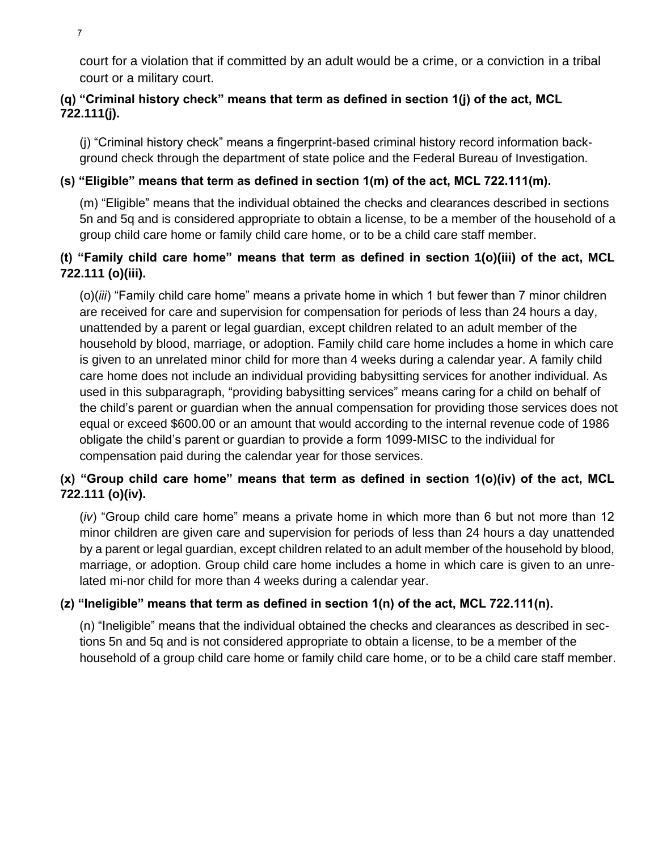court for a violation that if committed by an adult would be a crime, or a conviction in a tribal court or a military court.

### **(q) "Criminal history check" means that term as defined in section 1(j) of the act, MCL 722.111(j).**

(j) "Criminal history check" means a fingerprint-based criminal history record information background check through the department of state police and the Federal Bureau of Investigation.

### **(s) "Eligible" means that term as defined in section 1(m) of the act, MCL 722.111(m).**

(m) "Eligible" means that the individual obtained the checks and clearances described in sections 5n and 5q and is considered appropriate to obtain a license, to be a member of the household of a group child care home or family child care home, or to be a child care staff member.

### **(t) "Family child care home" means that term as defined in section 1(o)(iii) of the act, MCL 722.111 (o)(iii).**

(o)(*iii*) "Family child care home" means a private home in which 1 but fewer than 7 minor children are received for care and supervision for compensation for periods of less than 24 hours a day, unattended by a parent or legal guardian, except children related to an adult member of the household by blood, marriage, or adoption. Family child care home includes a home in which care is given to an unrelated minor child for more than 4 weeks during a calendar year. A family child care home does not include an individual providing babysitting services for another individual. As used in this subparagraph, "providing babysitting services" means caring for a child on behalf of the child's parent or guardian when the annual compensation for providing those services does not equal or exceed \$600.00 or an amount that would according to the internal revenue code of 1986 obligate the child's parent or guardian to provide a form 1099-MISC to the individual for compensation paid during the calendar year for those services.

### **(x) "Group child care home" means that term as defined in section 1(o)(iv) of the act, MCL 722.111 (o)(iv).**

(*iv*) "Group child care home" means a private home in which more than 6 but not more than 12 minor children are given care and supervision for periods of less than 24 hours a day unattended by a parent or legal guardian, except children related to an adult member of the household by blood, marriage, or adoption. Group child care home includes a home in which care is given to an unrelated mi-nor child for more than 4 weeks during a calendar year.

### **(z) "Ineligible" means that term as defined in section 1(n) of the act, MCL 722.111(n).**

(n) "Ineligible" means that the individual obtained the checks and clearances as described in sections 5n and 5q and is not considered appropriate to obtain a license, to be a member of the household of a group child care home or family child care home, or to be a child care staff member.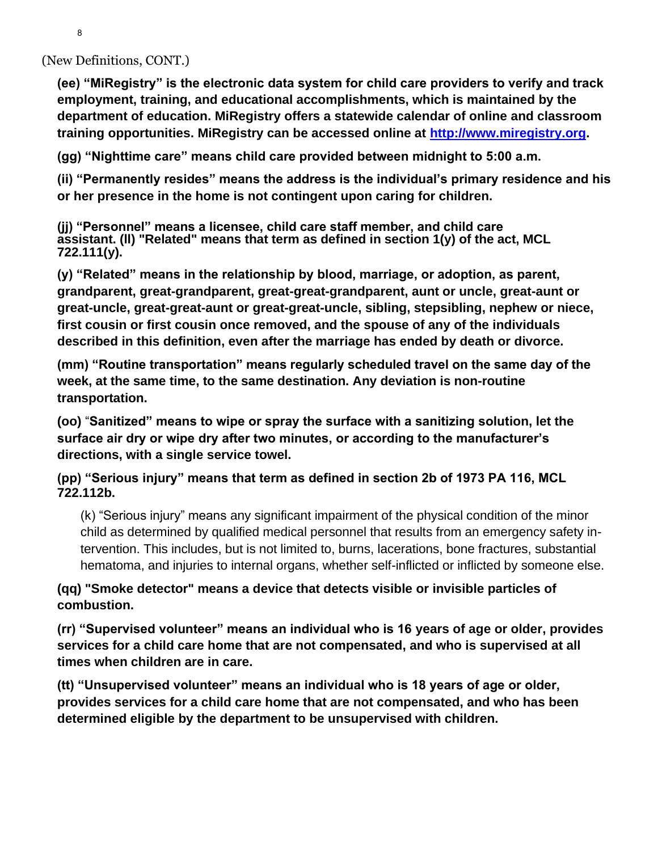(New Definitions, CONT.)

**(ee) "MiRegistry" is the electronic data system for child care providers to verify and track employment, training, and educational accomplishments, which is maintained by the department of education. MiRegistry offers a statewide calendar of online and classroom training opportunities. MiRegistry can be accessed online at [http://www.miregistry.org.](http://www.miregistry.org/)**

**(gg) "Nighttime care" means child care provided between midnight to 5:00 a.m.**

**(ii) "Permanently resides" means the address is the individual's primary residence and his or her presence in the home is not contingent upon caring for children.**

**(jj) "Personnel" means a licensee, child care staff member, and child care assistant. (ll) "Related" means that term as defined in section 1(y) of the act, MCL 722.111(y).**

**(y) "Related" means in the relationship by blood, marriage, or adoption, as parent, grandparent, great-grandparent, great-great-grandparent, aunt or uncle, great-aunt or great-uncle, great-great-aunt or great-great-uncle, sibling, stepsibling, nephew or niece, first cousin or first cousin once removed, and the spouse of any of the individuals described in this definition, even after the marriage has ended by death or divorce.**

**(mm) "Routine transportation" means regularly scheduled travel on the same day of the week, at the same time, to the same destination. Any deviation is non-routine transportation.**

**(oo)** "**Sanitized" means to wipe or spray the surface with a sanitizing solution, let the surface air dry or wipe dry after two minutes, or according to the manufacturer's directions, with a single service towel.**

**(pp) "Serious injury" means that term as defined in section 2b of 1973 PA 116, MCL 722.112b.**

(k) "Serious injury" means any significant impairment of the physical condition of the minor child as determined by qualified medical personnel that results from an emergency safety intervention. This includes, but is not limited to, burns, lacerations, bone fractures, substantial hematoma, and injuries to internal organs, whether self-inflicted or inflicted by someone else.

**(qq) "Smoke detector" means a device that detects visible or invisible particles of combustion.**

**(rr) "Supervised volunteer" means an individual who is 16 years of age or older, provides services for a child care home that are not compensated, and who is supervised at all times when children are in care.**

**(tt) "Unsupervised volunteer" means an individual who is 18 years of age or older, provides services for a child care home that are not compensated, and who has been determined eligible by the department to be unsupervised with children.**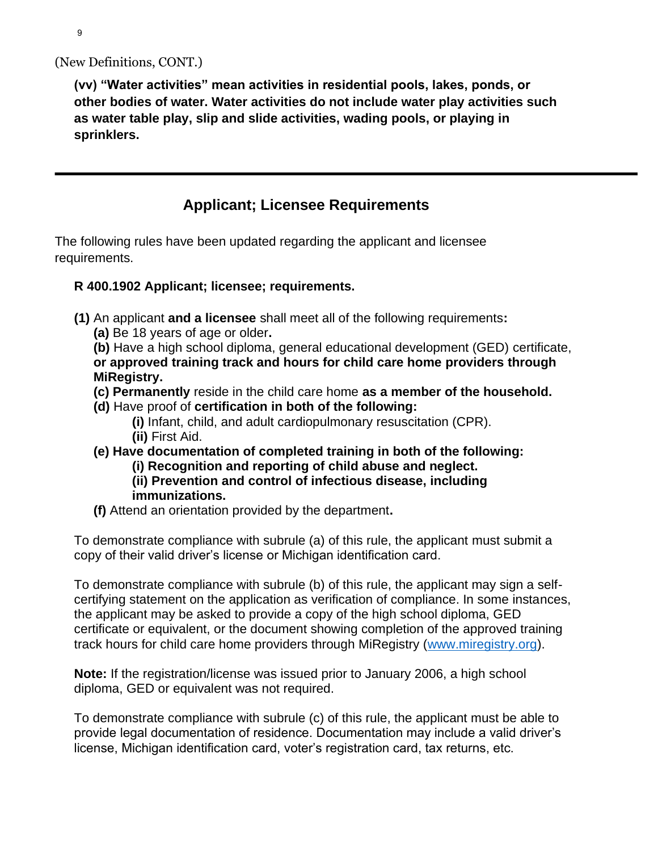**(vv) "Water activities" mean activities in residential pools, lakes, ponds, or other bodies of water. Water activities do not include water play activities such as water table play, slip and slide activities, wading pools, or playing in sprinklers.**

# **Applicant; Licensee Requirements**

The following rules have been updated regarding the applicant and licensee requirements.

### **R 400.1902 Applicant; licensee; requirements.**

- **(1)** An applicant **and a licensee** shall meet all of the following requirements**:**
	- **(a)** Be 18 years of age or older**.**

**(b)** Have a high school diploma, general educational development (GED) certificate, **or approved training track and hours for child care home providers through MiRegistry.**

- **(c) Permanently** reside in the child care home **as a member of the household.**
- **(d)** Have proof of **certification in both of the following:**
	- **(i)** Infant, child, and adult cardiopulmonary resuscitation (CPR). **(ii)** First Aid.
- **(e) Have documentation of completed training in both of the following: (i) Recognition and reporting of child abuse and neglect.**
	- **(ii) Prevention and control of infectious disease, including immunizations.**
- **(f)** Attend an orientation provided by the department**.**

To demonstrate compliance with subrule (a) of this rule, the applicant must submit a copy of their valid driver's license or Michigan identification card.

To demonstrate compliance with subrule (b) of this rule, the applicant may sign a selfcertifying statement on the application as verification of compliance. In some instances, the applicant may be asked to provide a copy of the high school diploma, GED certificate or equivalent, or the document showing completion of the approved training track hours for child care home providers through MiRegistry [\(www.miregistry.org\)](http://www.miregistry.org/).

**Note:** If the registration/license was issued prior to January 2006, a high school diploma, GED or equivalent was not required.

To demonstrate compliance with subrule (c) of this rule, the applicant must be able to provide legal documentation of residence. Documentation may include a valid driver's license, Michigan identification card, voter's registration card, tax returns, etc.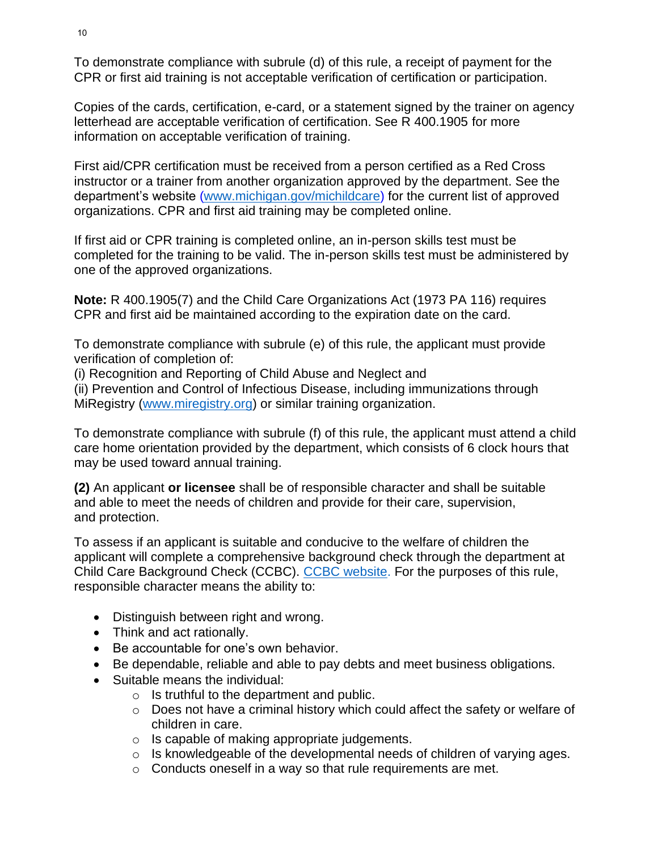To demonstrate compliance with subrule (d) of this rule, a receipt of payment for the CPR or first aid training is not acceptable verification of certification or participation.

Copies of the cards, certification, e-card, or a statement signed by the trainer on agency letterhead are acceptable verification of certification. See R 400.1905 for more information on acceptable verification of training.

First aid/CPR certification must be received from a person certified as a Red Cross instructor or a trainer from another organization approved by the department. See the department's website [\(www.michigan.gov/michildcare\)](http://www.michigan.gov/michildcare) for the current list of approved organizations. CPR and first aid training may be completed online.

If first aid or CPR training is completed online, an in-person skills test must be completed for the training to be valid. The in-person skills test must be administered by one of the approved organizations.

**Note:** R 400.1905(7) and the Child Care Organizations Act (1973 PA 116) requires CPR and first aid be maintained according to the expiration date on the card.

To demonstrate compliance with subrule (e) of this rule, the applicant must provide verification of completion of:

(i) Recognition and Reporting of Child Abuse and Neglect and

(ii) Prevention and Control of Infectious Disease, including immunizations through MiRegistry [\(www.miregistry.org\)](http://www.miregistry.org/) or similar training organization.

To demonstrate compliance with subrule (f) of this rule, the applicant must attend a child care home orientation provided by the department, which consists of 6 clock hours that may be used toward annual training.

**(2)** An applicant **or licensee** shall be of responsible character and shall be suitable and able to meet the needs of children and provide for their care, supervision, and protection.

To assess if an applicant is suitable and conducive to the welfare of children the applicant will complete a comprehensive background check through the department at Child Care Background Check (CCBC). [CCBC website.](https://miltcpartnership.org/childcareportal?r=1) For the purposes of this rule, responsible character means the ability to:

- Distinguish between right and wrong.
- Think and act rationally.
- Be accountable for one's own behavior.
- Be dependable, reliable and able to pay debts and meet business obligations.
- Suitable means the individual:
	- o Is truthful to the department and public.
	- o Does not have a criminal history which could affect the safety or welfare of children in care.
	- o Is capable of making appropriate judgements.
	- o Is knowledgeable of the developmental needs of children of varying ages.
	- o Conducts oneself in a way so that rule requirements are met.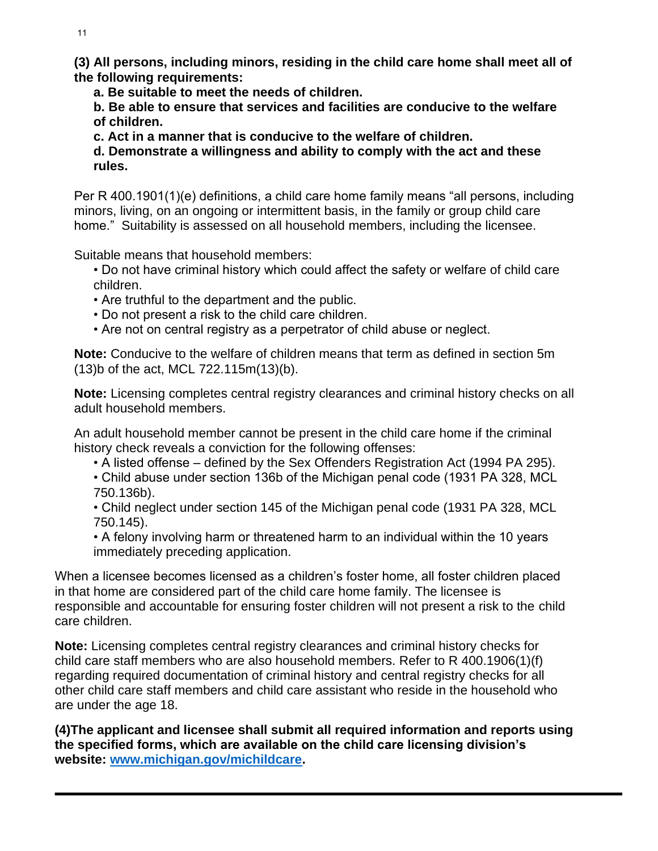**(3) All persons, including minors, residing in the child care home shall meet all of the following requirements:**

**a. Be suitable to meet the needs of children.**

**b. Be able to ensure that services and facilities are conducive to the welfare of children.**

**c. Act in a manner that is conducive to the welfare of children.**

**d. Demonstrate a willingness and ability to comply with the act and these rules.**

Per R 400.1901(1)(e) definitions, a child care home family means "all persons, including minors, living, on an ongoing or intermittent basis, in the family or group child care home." Suitability is assessed on all household members, including the licensee.

Suitable means that household members:

• Do not have criminal history which could affect the safety or welfare of child care children.

- Are truthful to the department and the public.
- Do not present a risk to the child care children.
- Are not on central registry as a perpetrator of child abuse or neglect.

**Note:** Conducive to the welfare of children means that term as defined in section 5m (13)b of the act, MCL 722.115m(13)(b).

**Note:** Licensing completes central registry clearances and criminal history checks on all adult household members.

An adult household member cannot be present in the child care home if the criminal history check reveals a conviction for the following offenses:

• A listed offense – defined by the Sex Offenders Registration Act (1994 PA 295).

• Child abuse under section 136b of the Michigan penal code (1931 PA 328, MCL 750.136b).

• Child neglect under section 145 of the Michigan penal code (1931 PA 328, MCL 750.145).

• A felony involving harm or threatened harm to an individual within the 10 years immediately preceding application.

When a licensee becomes licensed as a children's foster home, all foster children placed in that home are considered part of the child care home family. The licensee is responsible and accountable for ensuring foster children will not present a risk to the child care children.

**Note:** Licensing completes central registry clearances and criminal history checks for child care staff members who are also household members. Refer to R 400.1906(1)(f) regarding required documentation of criminal history and central registry checks for all other child care staff members and child care assistant who reside in the household who are under the age 18.

**(4)The applicant and licensee shall submit all required information and reports using the specified forms, which are available on the child care licensing division's website: [www.michigan.gov/michildcare.](http://www.michigan.gov/michildcare)**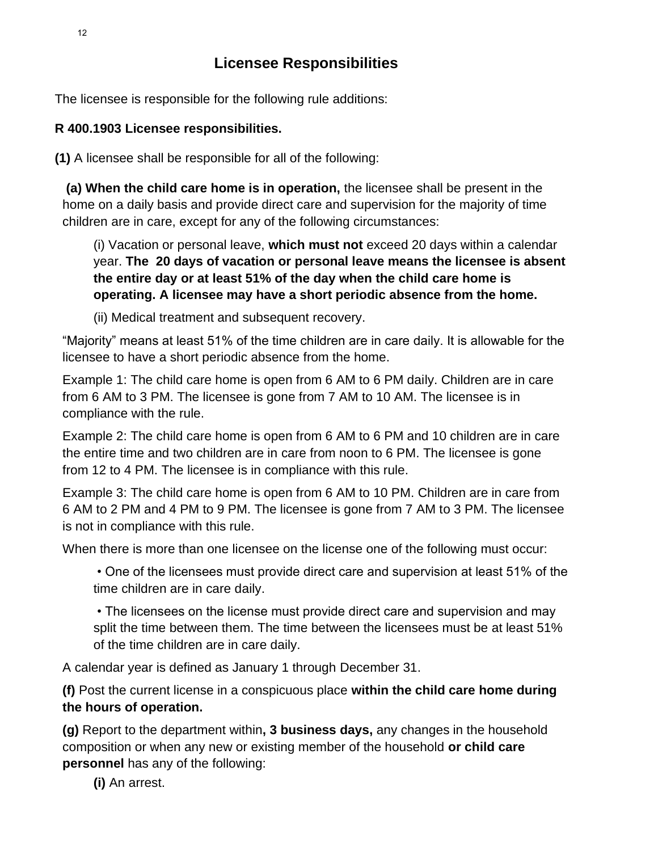### **Licensee Responsibilities**

The licensee is responsible for the following rule additions:

### **R 400.1903 Licensee responsibilities.**

**(1)** A licensee shall be responsible for all of the following:

**(a) When the child care home is in operation,** the licensee shall be present in the home on a daily basis and provide direct care and supervision for the majority of time children are in care, except for any of the following circumstances:

(i) Vacation or personal leave, **which must not** exceed 20 days within a calendar year. **The 20 days of vacation or personal leave means the licensee is absent the entire day or at least 51% of the day when the child care home is operating. A licensee may have a short periodic absence from the home.**

(ii) Medical treatment and subsequent recovery.

"Majority" means at least 51% of the time children are in care daily. It is allowable for the licensee to have a short periodic absence from the home.

Example 1: The child care home is open from 6 AM to 6 PM daily. Children are in care from 6 AM to 3 PM. The licensee is gone from 7 AM to 10 AM. The licensee is in compliance with the rule.

Example 2: The child care home is open from 6 AM to 6 PM and 10 children are in care the entire time and two children are in care from noon to 6 PM. The licensee is gone from 12 to 4 PM. The licensee is in compliance with this rule.

Example 3: The child care home is open from 6 AM to 10 PM. Children are in care from 6 AM to 2 PM and 4 PM to 9 PM. The licensee is gone from 7 AM to 3 PM. The licensee is not in compliance with this rule.

When there is more than one licensee on the license one of the following must occur:

• One of the licensees must provide direct care and supervision at least 51% of the time children are in care daily.

• The licensees on the license must provide direct care and supervision and may split the time between them. The time between the licensees must be at least 51% of the time children are in care daily.

A calendar year is defined as January 1 through December 31.

**(f)** Post the current license in a conspicuous place **within the child care home during the hours of operation.**

**(g)** Report to the department within**, 3 business days,** any changes in the household composition or when any new or existing member of the household **or child care personnel** has any of the following:

**(i)** An arrest.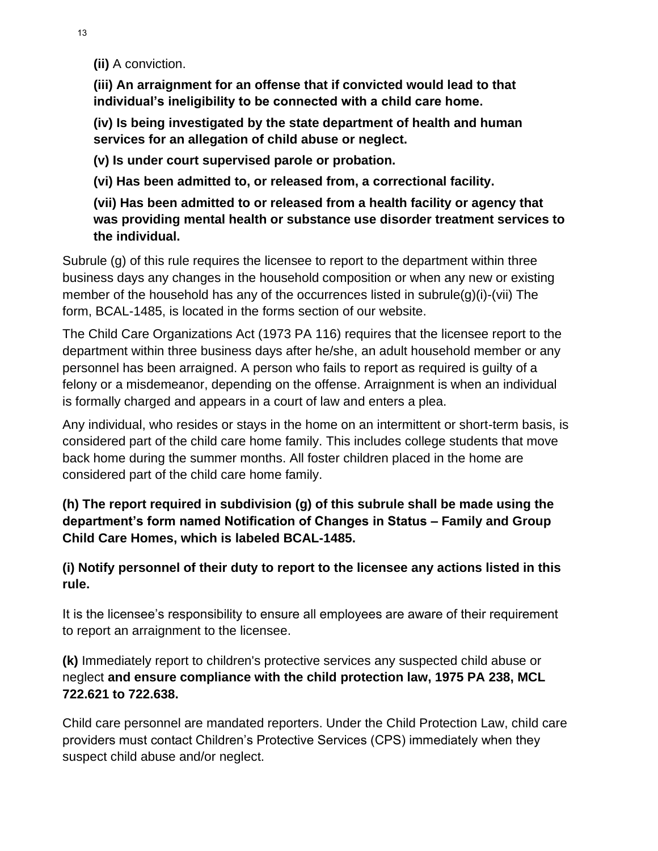**(ii)** A conviction.

**(iii) An arraignment for an offense that if convicted would lead to that individual's ineligibility to be connected with a child care home.** 

**(iv) Is being investigated by the state department of health and human services for an allegation of child abuse or neglect.**

**(v) Is under court supervised parole or probation.** 

**(vi) Has been admitted to, or released from, a correctional facility.**

**(vii) Has been admitted to or released from a health facility or agency that was providing mental health or substance use disorder treatment services to the individual.**

Subrule (g) of this rule requires the licensee to report to the department within three business days any changes in the household composition or when any new or existing member of the household has any of the occurrences listed in subrule(g)(i)-(vii) The form, BCAL-1485, is located in the forms section of our website.

The Child Care Organizations Act (1973 PA 116) requires that the licensee report to the department within three business days after he/she, an adult household member or any personnel has been arraigned. A person who fails to report as required is guilty of a felony or a misdemeanor, depending on the offense. Arraignment is when an individual is formally charged and appears in a court of law and enters a plea.

Any individual, who resides or stays in the home on an intermittent or short-term basis, is considered part of the child care home family. This includes college students that move back home during the summer months. All foster children placed in the home are considered part of the child care home family.

**(h) The report required in subdivision (g) of this subrule shall be made using the department's form named Notification of Changes in Status – Family and Group Child Care Homes, which is labeled BCAL-1485.** 

**(i) Notify personnel of their duty to report to the licensee any actions listed in this rule.**

It is the licensee's responsibility to ensure all employees are aware of their requirement to report an arraignment to the licensee.

**(k)** Immediately report to children's protective services any suspected child abuse or neglect **and ensure compliance with the child protection law, 1975 PA 238, MCL 722.621 to 722.638.**

Child care personnel are mandated reporters. Under the Child Protection Law, child care providers must contact Children's Protective Services (CPS) immediately when they suspect child abuse and/or neglect.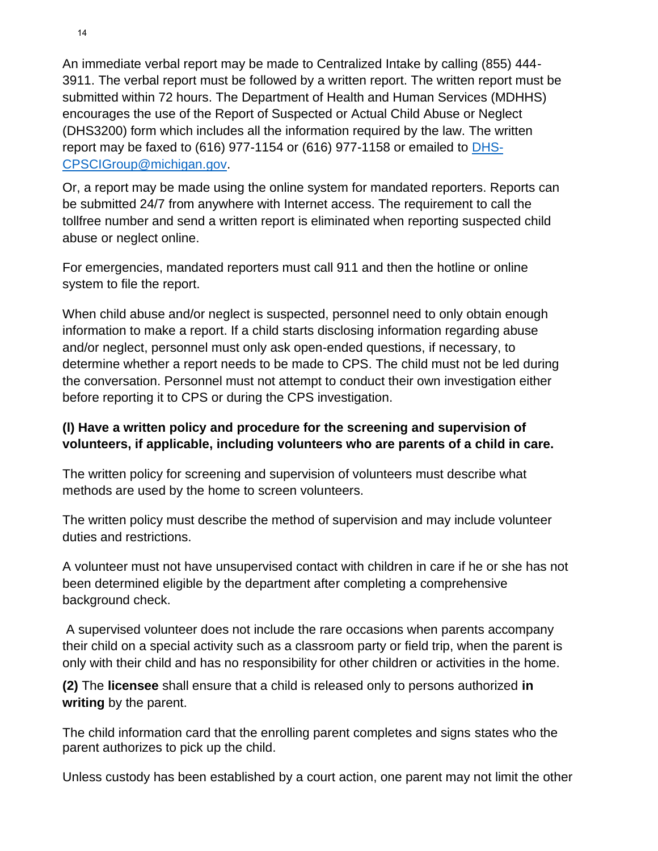An immediate verbal report may be made to Centralized Intake by calling (855) 444- 3911. The verbal report must be followed by a written report. The written report must be submitted within 72 hours. The Department of Health and Human Services (MDHHS) encourages the use of the Report of Suspected or Actual Child Abuse or Neglect (DHS3200) form which includes all the information required by the law. The written report may be faxed to (616) 977-1154 or (616) 977-1158 or emailed to [DHS-](mailto:DHS-CPSCIGroup@michigan.gov)[CPSCIGroup@michigan.gov.](mailto:DHS-CPSCIGroup@michigan.gov)

Or, a report may be made using the online system for mandated reporters. Reports can be submitted 24/7 from anywhere with Internet access. The requirement to call the tollfree number and send a written report is eliminated when reporting suspected child abuse or neglect online.

For emergencies, mandated reporters must call 911 and then the hotline or online system to file the report.

When child abuse and/or neglect is suspected, personnel need to only obtain enough information to make a report. If a child starts disclosing information regarding abuse and/or neglect, personnel must only ask open-ended questions, if necessary, to determine whether a report needs to be made to CPS. The child must not be led during the conversation. Personnel must not attempt to conduct their own investigation either before reporting it to CPS or during the CPS investigation.

### **(l) Have a written policy and procedure for the screening and supervision of volunteers, if applicable, including volunteers who are parents of a child in care.**

The written policy for screening and supervision of volunteers must describe what methods are used by the home to screen volunteers.

The written policy must describe the method of supervision and may include volunteer duties and restrictions.

A volunteer must not have unsupervised contact with children in care if he or she has not been determined eligible by the department after completing a comprehensive background check.

A supervised volunteer does not include the rare occasions when parents accompany their child on a special activity such as a classroom party or field trip, when the parent is only with their child and has no responsibility for other children or activities in the home.

**(2)** The **licensee** shall ensure that a child is released only to persons authorized **in writing** by the parent.

The child information card that the enrolling parent completes and signs states who the parent authorizes to pick up the child.

Unless custody has been established by a court action, one parent may not limit the other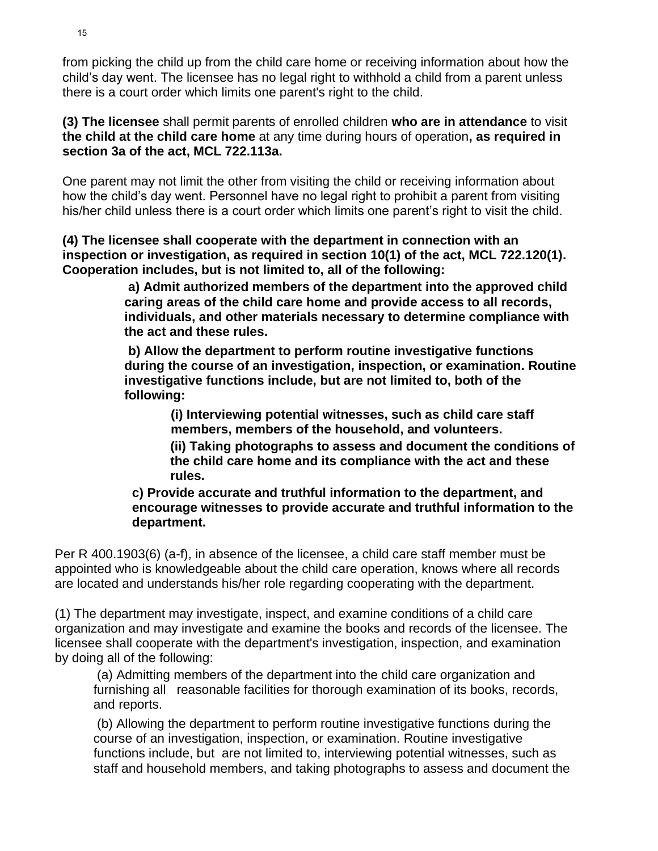from picking the child up from the child care home or receiving information about how the child's day went. The licensee has no legal right to withhold a child from a parent unless there is a court order which limits one parent's right to the child.

**(3) The licensee** shall permit parents of enrolled children **who are in attendance** to visit **the child at the child care home** at any time during hours of operation**, as required in section 3a of the act, MCL 722.113a.**

One parent may not limit the other from visiting the child or receiving information about how the child's day went. Personnel have no legal right to prohibit a parent from visiting his/her child unless there is a court order which limits one parent's right to visit the child.

**(4) The licensee shall cooperate with the department in connection with an inspection or investigation, as required in section 10(1) of the act, MCL 722.120(1). Cooperation includes, but is not limited to, all of the following:**

> **a) Admit authorized members of the department into the approved child caring areas of the child care home and provide access to all records, individuals, and other materials necessary to determine compliance with the act and these rules.**

**b) Allow the department to perform routine investigative functions during the course of an investigation, inspection, or examination. Routine investigative functions include, but are not limited to, both of the following:** 

> **(i) Interviewing potential witnesses, such as child care staff members, members of the household, and volunteers.**

 **(ii) Taking photographs to assess and document the conditions of the child care home and its compliance with the act and these rules.**

**c) Provide accurate and truthful information to the department, and encourage witnesses to provide accurate and truthful information to the department.**

Per R 400.1903(6) (a-f), in absence of the licensee, a child care staff member must be appointed who is knowledgeable about the child care operation, knows where all records are located and understands his/her role regarding cooperating with the department.

(1) The department may investigate, inspect, and examine conditions of a child care organization and may investigate and examine the books and records of the licensee. The licensee shall cooperate with the department's investigation, inspection, and examination by doing all of the following:

(a) Admitting members of the department into the child care organization and furnishing all reasonable facilities for thorough examination of its books, records, and reports.

(b) Allowing the department to perform routine investigative functions during the course of an investigation, inspection, or examination. Routine investigative functions include, but are not limited to, interviewing potential witnesses, such as staff and household members, and taking photographs to assess and document the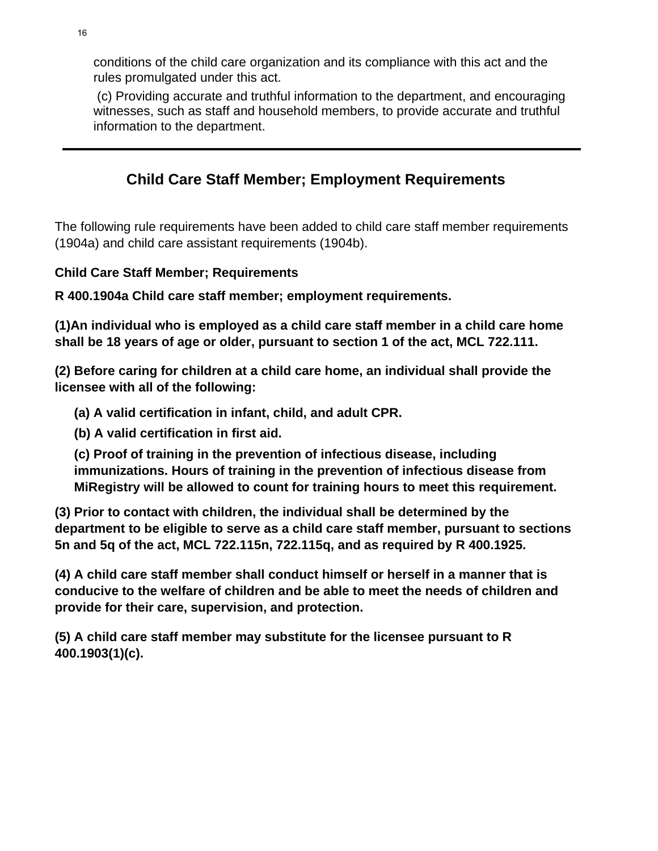conditions of the child care organization and its compliance with this act and the rules promulgated under this act.

(c) Providing accurate and truthful information to the department, and encouraging witnesses, such as staff and household members, to provide accurate and truthful information to the department.

# **Child Care Staff Member; Employment Requirements**

The following rule requirements have been added to child care staff member requirements (1904a) and child care assistant requirements (1904b).

### **Child Care Staff Member; Requirements**

**R 400.1904a Child care staff member; employment requirements.**

**(1)An individual who is employed as a child care staff member in a child care home shall be 18 years of age or older, pursuant to section 1 of the act, MCL 722.111.**

**(2) Before caring for children at a child care home, an individual shall provide the licensee with all of the following:** 

**(a) A valid certification in infant, child, and adult CPR.**

**(b) A valid certification in first aid.**

**(c) Proof of training in the prevention of infectious disease, including immunizations. Hours of training in the prevention of infectious disease from MiRegistry will be allowed to count for training hours to meet this requirement.** 

**(3) Prior to contact with children, the individual shall be determined by the department to be eligible to serve as a child care staff member, pursuant to sections 5n and 5q of the act, MCL 722.115n, 722.115q, and as required by R 400.1925.**

**(4) A child care staff member shall conduct himself or herself in a manner that is conducive to the welfare of children and be able to meet the needs of children and provide for their care, supervision, and protection.**

**(5) A child care staff member may substitute for the licensee pursuant to R 400.1903(1)(c).**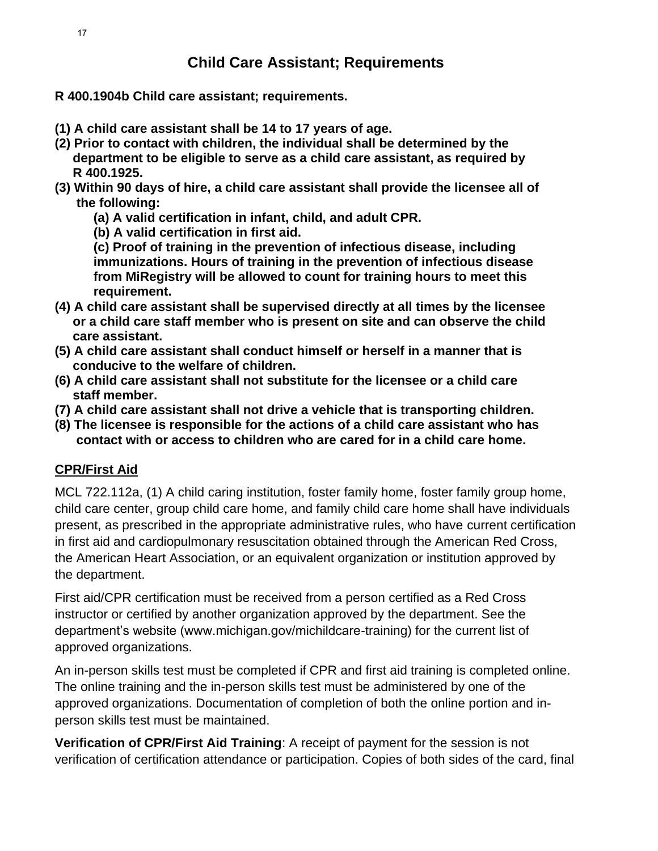**R 400.1904b Child care assistant; requirements.**

- **(1) A child care assistant shall be 14 to 17 years of age.**
- **(2) Prior to contact with children, the individual shall be determined by the department to be eligible to serve as a child care assistant, as required by R 400.1925.**
- **(3) Within 90 days of hire, a child care assistant shall provide the licensee all of the following:**
	- **(a) A valid certification in infant, child, and adult CPR.**
	- **(b) A valid certification in first aid.**

**(c) Proof of training in the prevention of infectious disease, including immunizations. Hours of training in the prevention of infectious disease from MiRegistry will be allowed to count for training hours to meet this requirement.**

- **(4) A child care assistant shall be supervised directly at all times by the licensee or a child care staff member who is present on site and can observe the child care assistant.**
- **(5) A child care assistant shall conduct himself or herself in a manner that is conducive to the welfare of children.**
- **(6) A child care assistant shall not substitute for the licensee or a child care staff member.**
- **(7) A child care assistant shall not drive a vehicle that is transporting children.**
- **(8) The licensee is responsible for the actions of a child care assistant who has contact with or access to children who are cared for in a child care home.**

### **CPR/First Aid**

MCL 722.112a, (1) A child caring institution, foster family home, foster family group home, child care center, group child care home, and family child care home shall have individuals present, as prescribed in the appropriate administrative rules, who have current certification in first aid and cardiopulmonary resuscitation obtained through the American Red Cross, the American Heart Association, or an equivalent organization or institution approved by the department.

First aid/CPR certification must be received from a person certified as a Red Cross instructor or certified by another organization approved by the department. See the department's website (www.michigan.gov/michildcare-training) for the current list of approved organizations.

An in-person skills test must be completed if CPR and first aid training is completed online. The online training and the in-person skills test must be administered by one of the approved organizations. Documentation of completion of both the online portion and inperson skills test must be maintained.

**Verification of CPR/First Aid Training**: A receipt of payment for the session is not verification of certification attendance or participation. Copies of both sides of the card, final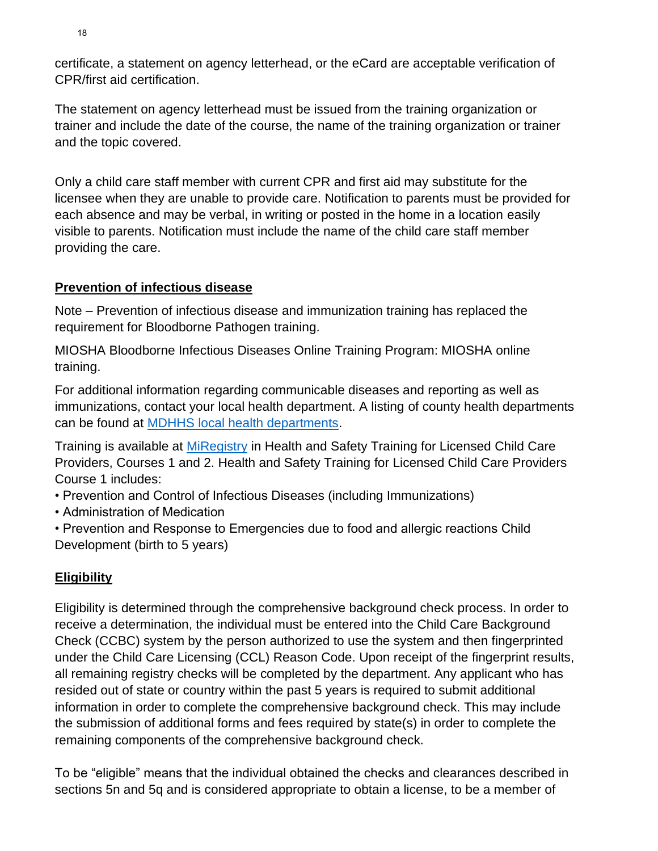certificate, a statement on agency letterhead, or the eCard are acceptable verification of CPR/first aid certification.

The statement on agency letterhead must be issued from the training organization or trainer and include the date of the course, the name of the training organization or trainer and the topic covered.

Only a child care staff member with current CPR and first aid may substitute for the licensee when they are unable to provide care. Notification to parents must be provided for each absence and may be verbal, in writing or posted in the home in a location easily visible to parents. Notification must include the name of the child care staff member providing the care.

### **Prevention of infectious disease**

Note – Prevention of infectious disease and immunization training has replaced the requirement for Bloodborne Pathogen training.

MIOSHA Bloodborne Infectious Diseases Online Training Program: MIOSHA online training.

For additional information regarding communicable diseases and reporting as well as immunizations, contact your local health department. A listing of county health departments can be found at [MDHHS local health departments.](https://www.michigan.gov/mdhhs/0,5885,7-339-73970_5461_74040---,00.html)

Training is available at [MiRegistry](http://www.miregistry.org/) in Health and Safety Training for Licensed Child Care Providers, Courses 1 and 2. Health and Safety Training for Licensed Child Care Providers Course 1 includes:

- Prevention and Control of Infectious Diseases (including Immunizations)
- Administration of Medication
- Prevention and Response to Emergencies due to food and allergic reactions Child Development (birth to 5 years)

# **Eligibility**

Eligibility is determined through the comprehensive background check process. In order to receive a determination, the individual must be entered into the Child Care Background Check (CCBC) system by the person authorized to use the system and then fingerprinted under the Child Care Licensing (CCL) Reason Code. Upon receipt of the fingerprint results, all remaining registry checks will be completed by the department. Any applicant who has resided out of state or country within the past 5 years is required to submit additional information in order to complete the comprehensive background check. This may include the submission of additional forms and fees required by state(s) in order to complete the remaining components of the comprehensive background check.

To be "eligible" means that the individual obtained the checks and clearances described in sections 5n and 5q and is considered appropriate to obtain a license, to be a member of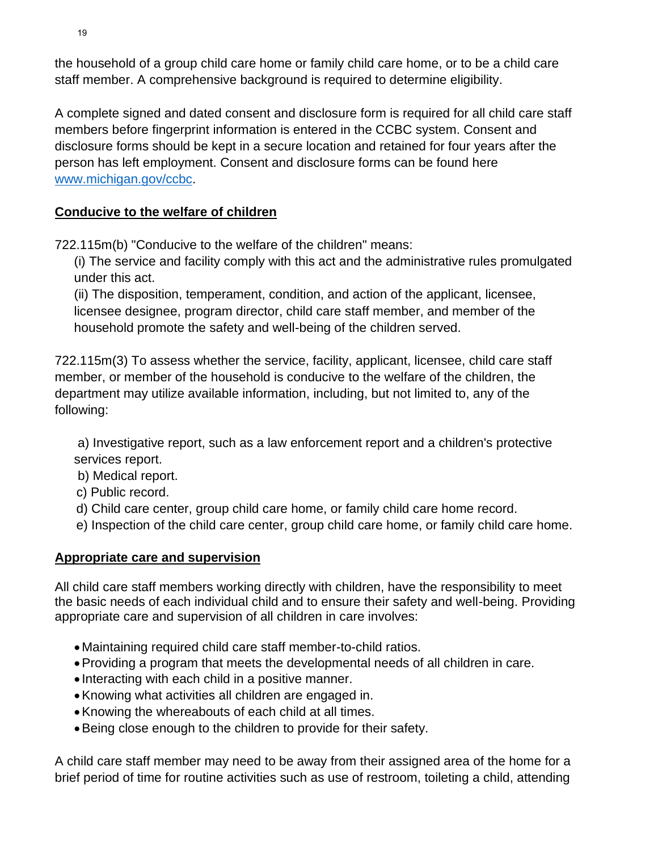the household of a group child care home or family child care home, or to be a child care staff member. A comprehensive background is required to determine eligibility.

A complete signed and dated consent and disclosure form is required for all child care staff members before fingerprint information is entered in the CCBC system. Consent and disclosure forms should be kept in a secure location and retained for four years after the person has left employment. Consent and disclosure forms can be found here [www.michigan.gov/ccbc.](http://www.michigan.gov/ccbc)

### **Conducive to the welfare of children**

722.115m(b) "Conducive to the welfare of the children" means:

(i) The service and facility comply with this act and the administrative rules promulgated under this act.

(ii) The disposition, temperament, condition, and action of the applicant, licensee, licensee designee, program director, child care staff member, and member of the household promote the safety and well-being of the children served.

722.115m(3) To assess whether the service, facility, applicant, licensee, child care staff member, or member of the household is conducive to the welfare of the children, the department may utilize available information, including, but not limited to, any of the following:

a) Investigative report, such as a law enforcement report and a children's protective services report.

- b) Medical report.
- c) Public record.
- d) Child care center, group child care home, or family child care home record.
- e) Inspection of the child care center, group child care home, or family child care home.

# **Appropriate care and supervision**

All child care staff members working directly with children, have the responsibility to meet the basic needs of each individual child and to ensure their safety and well-being. Providing appropriate care and supervision of all children in care involves:

- Maintaining required child care staff member-to-child ratios.
- •Providing a program that meets the developmental needs of all children in care.
- Interacting with each child in a positive manner.
- •Knowing what activities all children are engaged in.
- •Knowing the whereabouts of each child at all times.
- •Being close enough to the children to provide for their safety.

A child care staff member may need to be away from their assigned area of the home for a brief period of time for routine activities such as use of restroom, toileting a child, attending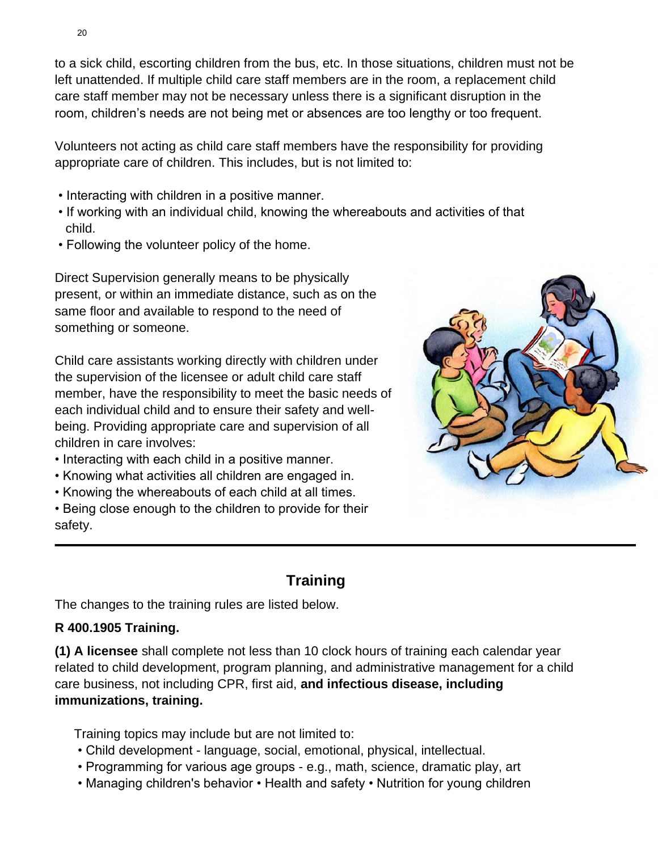to a sick child, escorting children from the bus, etc. In those situations, children must not be left unattended. If multiple child care staff members are in the room, a replacement child care staff member may not be necessary unless there is a significant disruption in the room, children's needs are not being met or absences are too lengthy or too frequent.

Volunteers not acting as child care staff members have the responsibility for providing appropriate care of children. This includes, but is not limited to:

- Interacting with children in a positive manner.
- If working with an individual child, knowing the whereabouts and activities of that child.
- Following the volunteer policy of the home.

Direct Supervision generally means to be physically present, or within an immediate distance, such as on the same floor and available to respond to the need of something or someone.

Child care assistants working directly with children under the supervision of the licensee or adult child care staff member, have the responsibility to meet the basic needs of each individual child and to ensure their safety and wellbeing. Providing appropriate care and supervision of all children in care involves:

- Interacting with each child in a positive manner.
- Knowing what activities all children are engaged in.
- Knowing the whereabouts of each child at all times.

• Being close enough to the children to provide for their safety.



# **Training**

The changes to the training rules are listed below.

### **R 400.1905 Training.**

**(1) A licensee** shall complete not less than 10 clock hours of training each calendar year related to child development, program planning, and administrative management for a child care business, not including CPR, first aid, **and infectious disease, including immunizations, training.**

Training topics may include but are not limited to:

- Child development language, social, emotional, physical, intellectual.
- Programming for various age groups e.g., math, science, dramatic play, art
- Managing children's behavior Health and safety Nutrition for young children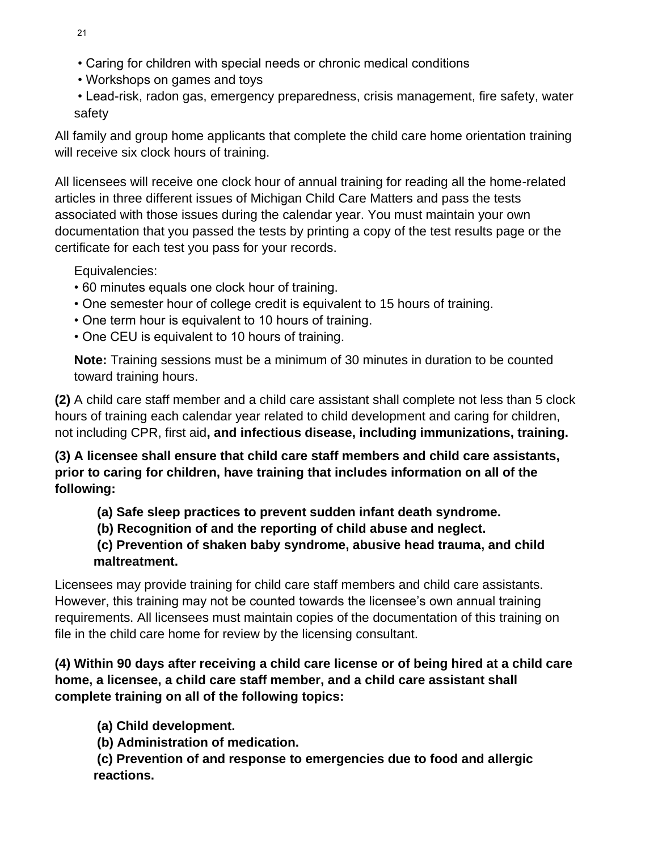- Caring for children with special needs or chronic medical conditions
- Workshops on games and toys
- Lead-risk, radon gas, emergency preparedness, crisis management, fire safety, water safety

All family and group home applicants that complete the child care home orientation training will receive six clock hours of training.

All licensees will receive one clock hour of annual training for reading all the home-related articles in three different issues of Michigan Child Care Matters and pass the tests associated with those issues during the calendar year. You must maintain your own documentation that you passed the tests by printing a copy of the test results page or the certificate for each test you pass for your records.

Equivalencies:

- 60 minutes equals one clock hour of training.
- One semester hour of college credit is equivalent to 15 hours of training.
- One term hour is equivalent to 10 hours of training.
- One CEU is equivalent to 10 hours of training.

**Note:** Training sessions must be a minimum of 30 minutes in duration to be counted toward training hours.

**(2)** A child care staff member and a child care assistant shall complete not less than 5 clock hours of training each calendar year related to child development and caring for children, not including CPR, first aid**, and infectious disease, including immunizations, training.**

**(3) A licensee shall ensure that child care staff members and child care assistants, prior to caring for children, have training that includes information on all of the following:**

**(a) Safe sleep practices to prevent sudden infant death syndrome.** 

**(b) Recognition of and the reporting of child abuse and neglect.** 

**(c) Prevention of shaken baby syndrome, abusive head trauma, and child maltreatment.** 

Licensees may provide training for child care staff members and child care assistants. However, this training may not be counted towards the licensee's own annual training requirements. All licensees must maintain copies of the documentation of this training on file in the child care home for review by the licensing consultant.

### **(4) Within 90 days after receiving a child care license or of being hired at a child care home, a licensee, a child care staff member, and a child care assistant shall complete training on all of the following topics:**

**(a) Child development.** 

**(b) Administration of medication.** 

**(c) Prevention of and response to emergencies due to food and allergic reactions.**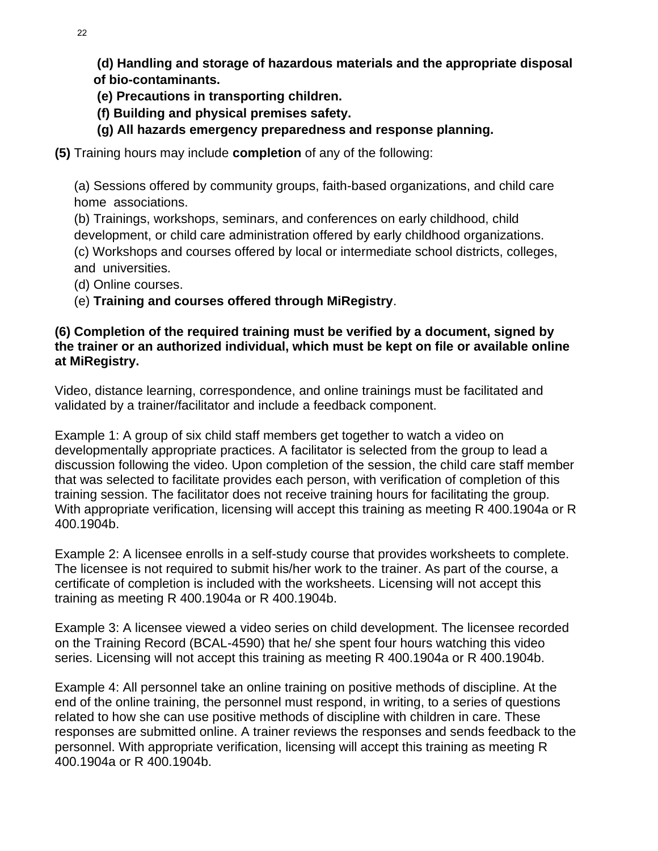**(d) Handling and storage of hazardous materials and the appropriate disposal of bio-contaminants.** 

**(e) Precautions in transporting children.** 

- **(f) Building and physical premises safety.**
- **(g) All hazards emergency preparedness and response planning.**
- **(5)** Training hours may include **completion** of any of the following:

(a) Sessions offered by community groups, faith-based organizations, and child care home associations.

(b) Trainings, workshops, seminars, and conferences on early childhood, child development, or child care administration offered by early childhood organizations. (c) Workshops and courses offered by local or intermediate school districts, colleges, and universities.

- (d) Online courses.
- (e) **Training and courses offered through MiRegistry**.

### **(6) Completion of the required training must be verified by a document, signed by the trainer or an authorized individual, which must be kept on file or available online at MiRegistry.**

Video, distance learning, correspondence, and online trainings must be facilitated and validated by a trainer/facilitator and include a feedback component.

Example 1: A group of six child staff members get together to watch a video on developmentally appropriate practices. A facilitator is selected from the group to lead a discussion following the video. Upon completion of the session, the child care staff member that was selected to facilitate provides each person, with verification of completion of this training session. The facilitator does not receive training hours for facilitating the group. With appropriate verification, licensing will accept this training as meeting R 400.1904a or R 400.1904b.

Example 2: A licensee enrolls in a self-study course that provides worksheets to complete. The licensee is not required to submit his/her work to the trainer. As part of the course, a certificate of completion is included with the worksheets. Licensing will not accept this training as meeting R 400.1904a or R 400.1904b.

Example 3: A licensee viewed a video series on child development. The licensee recorded on the Training Record (BCAL-4590) that he/ she spent four hours watching this video series. Licensing will not accept this training as meeting R 400.1904a or R 400.1904b.

Example 4: All personnel take an online training on positive methods of discipline. At the end of the online training, the personnel must respond, in writing, to a series of questions related to how she can use positive methods of discipline with children in care. These responses are submitted online. A trainer reviews the responses and sends feedback to the personnel. With appropriate verification, licensing will accept this training as meeting R 400.1904a or R 400.1904b.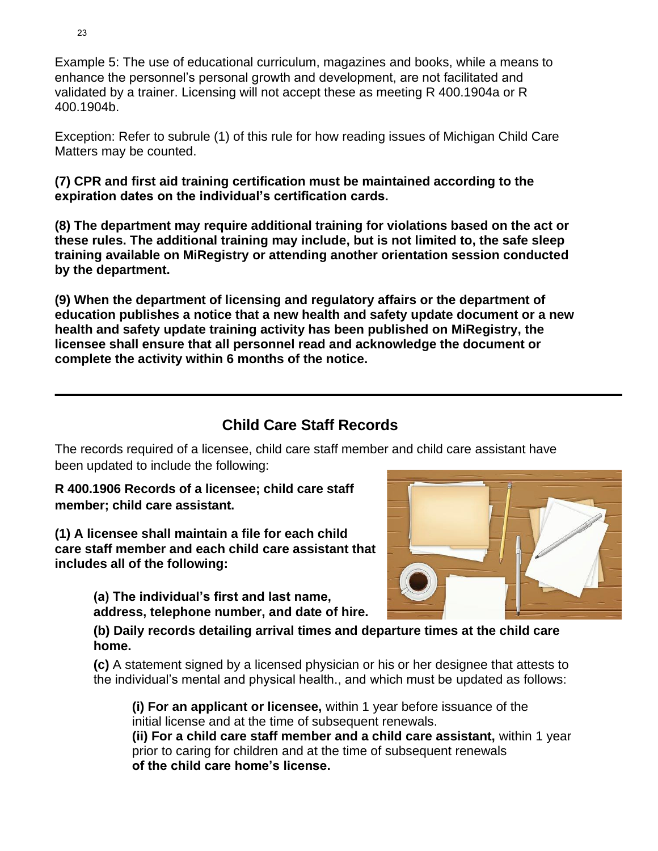Example 5: The use of educational curriculum, magazines and books, while a means to enhance the personnel's personal growth and development, are not facilitated and validated by a trainer. Licensing will not accept these as meeting R 400.1904a or R 400.1904b.

Exception: Refer to subrule (1) of this rule for how reading issues of Michigan Child Care Matters may be counted.

**(7) CPR and first aid training certification must be maintained according to the expiration dates on the individual's certification cards.** 

**(8) The department may require additional training for violations based on the act or these rules. The additional training may include, but is not limited to, the safe sleep training available on MiRegistry or attending another orientation session conducted by the department.** 

**(9) When the department of licensing and regulatory affairs or the department of education publishes a notice that a new health and safety update document or a new health and safety update training activity has been published on MiRegistry, the licensee shall ensure that all personnel read and acknowledge the document or complete the activity within 6 months of the notice.**

# **Child Care Staff Records**

The records required of a licensee, child care staff member and child care assistant have been updated to include the following:

### **R 400.1906 Records of a licensee; child care staff member; child care assistant.**

**(1) A licensee shall maintain a file for each child care staff member and each child care assistant that includes all of the following:**

> **(a) The individual's first and last name, address, telephone number, and date of hire.**

**(b) Daily records detailing arrival times and departure times at the child care home.**

**(c)** A statement signed by a licensed physician or his or her designee that attests to the individual's mental and physical health., and which must be updated as follows:

**(i) For an applicant or licensee,** within 1 year before issuance of the initial license and at the time of subsequent renewals. **(ii) For a child care staff member and a child care assistant,** within 1 year prior to caring for children and at the time of subsequent renewals

**of the child care home's license.**

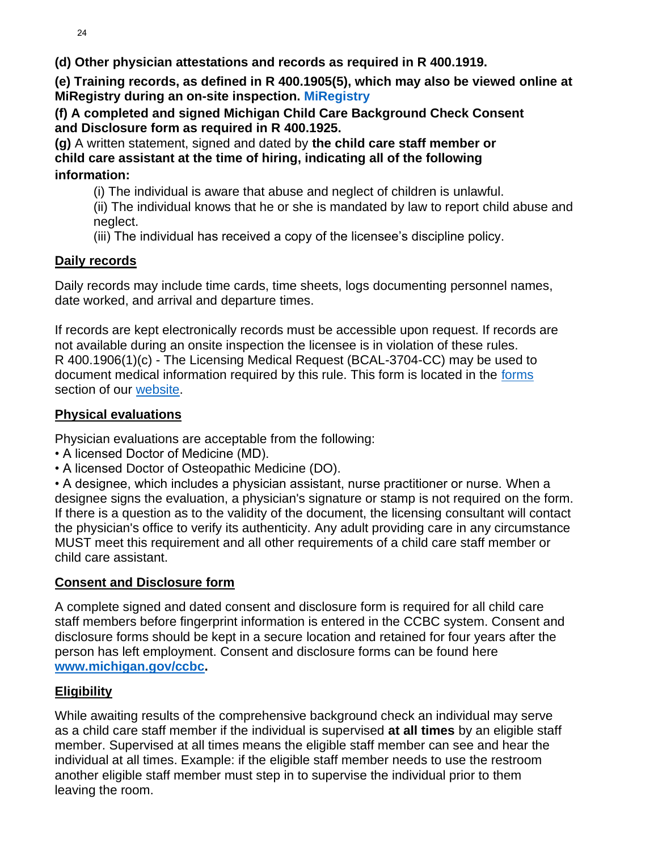**(d) Other physician attestations and records as required in R 400.1919.**

**(e) Training records, as defined in R 400.1905(5), which may also be viewed online at MiRegistry during an on-site inspection. MiRegistry**

**(f) A completed and signed Michigan Child Care Background Check Consent and Disclosure form as required in R 400.1925.**

**(g)** A written statement, signed and dated by **the child care staff member or child care assistant at the time of hiring, indicating all of the following**

### **information:**

(i) The individual is aware that abuse and neglect of children is unlawful.

(ii) The individual knows that he or she is mandated by law to report child abuse and neglect.

(iii) The individual has received a copy of the licensee's discipline policy.

### **Daily records**

Daily records may include time cards, time sheets, logs documenting personnel names, date worked, and arrival and departure times.

If records are kept electronically records must be accessible upon request. If records are not available during an onsite inspection the licensee is in violation of these rules. R 400.1906(1)(c) - The Licensing Medical Request (BCAL-3704-CC) may be used to document medical information required by this rule. This form is located in the [forms](https://www.michigan.gov/lara/0,4601,7-154-89334_63294_5529_49572_49584---,00.html) section of our [website.](https://www.michigan.gov/lara/0,4601,7-154-89334_63294_5529---,00.html)

### **Physical evaluations**

Physician evaluations are acceptable from the following:

- A licensed Doctor of Medicine (MD).
- A licensed Doctor of Osteopathic Medicine (DO).

• A designee, which includes a physician assistant, nurse practitioner or nurse. When a designee signs the evaluation, a physician's signature or stamp is not required on the form. If there is a question as to the validity of the document, the licensing consultant will contact the physician's office to verify its authenticity. Any adult providing care in any circumstance MUST meet this requirement and all other requirements of a child care staff member or child care assistant.

### **Consent and Disclosure form**

A complete signed and dated consent and disclosure form is required for all child care staff members before fingerprint information is entered in the CCBC system. Consent and disclosure forms should be kept in a secure location and retained for four years after the person has left employment. Consent and disclosure forms can be found here **[www.michigan.gov/ccbc.](http://www.michigan.gov/ccbc)**

# **Eligibility**

While awaiting results of the comprehensive background check an individual may serve as a child care staff member if the individual is supervised **at all times** by an eligible staff member. Supervised at all times means the eligible staff member can see and hear the individual at all times. Example: if the eligible staff member needs to use the restroom another eligible staff member must step in to supervise the individual prior to them leaving the room.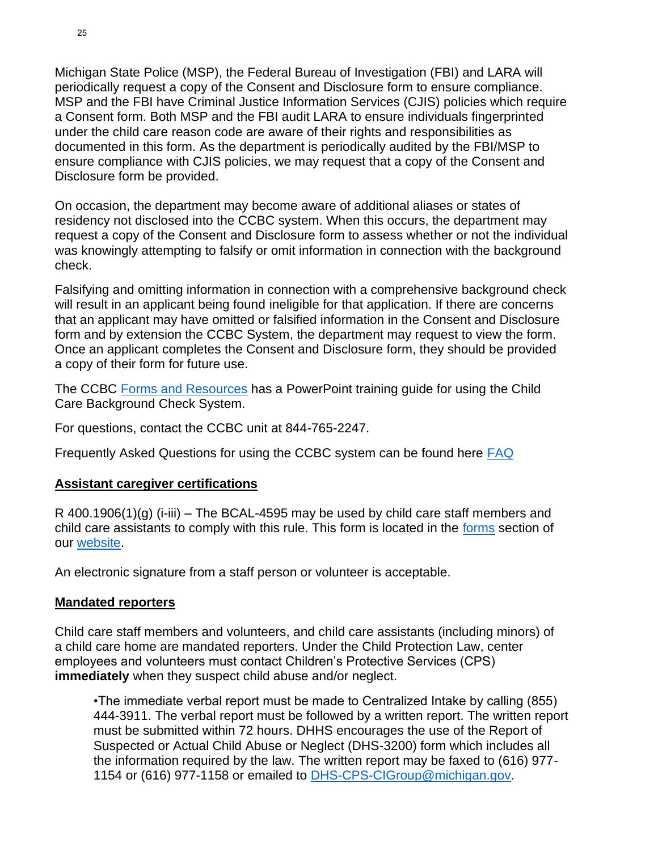Michigan State Police (MSP), the Federal Bureau of Investigation (FBI) and LARA will periodically request a copy of the Consent and Disclosure form to ensure compliance. MSP and the FBI have Criminal Justice Information Services (CJIS) policies which require a Consent form. Both MSP and the FBI audit LARA to ensure individuals fingerprinted under the child care reason code are aware of their rights and responsibilities as documented in this form. As the department is periodically audited by the FBI/MSP to ensure compliance with CJIS policies, we may request that a copy of the Consent and Disclosure form be provided.

On occasion, the department may become aware of additional aliases or states of residency not disclosed into the CCBC system. When this occurs, the department may request a copy of the Consent and Disclosure form to assess whether or not the individual was knowingly attempting to falsify or omit information in connection with the background check.

Falsifying and omitting information in connection with a comprehensive background check will result in an applicant being found ineligible for that application. If there are concerns that an applicant may have omitted or falsified information in the Consent and Disclosure form and by extension the CCBC System, the department may request to view the form. Once an applicant completes the Consent and Disclosure form, they should be provided a copy of their form for future use.

The CCBC [Forms and Resources](https://miltcpartnership.org/childcareportal/home/formsandresources) has a PowerPoint training guide for using the Child Care Background Check System.

For questions, contact the CCBC unit at 844-765-2247.

Frequently Asked Questions for using the CCBC system can be found here **FAQ** 

### **Assistant caregiver certifications**

R 400.1906(1)(g) (i-iii) – The BCAL-4595 may be used by child care staff members and child care assistants to comply with this rule. This form is located in the [forms](https://www.michigan.gov/lara/0,4601,7-154-89334_63294_5529_49572_49584---,00.html) section of our [website.](https://www.michigan.gov/lara/0,4601,7-154-89334_63294_5529---,00.html)

An electronic signature from a staff person or volunteer is acceptable.

### **Mandated reporters**

Child care staff members and volunteers, and child care assistants (including minors) of a child care home are mandated reporters. Under the Child Protection Law, center employees and volunteers must contact Children's Protective Services (CPS) **immediately** when they suspect child abuse and/or neglect.

•The immediate verbal report must be made to Centralized Intake by calling (855) 444-3911. The verbal report must be followed by a written report. The written report must be submitted within 72 hours. DHHS encourages the use of the Report of Suspected or Actual Child Abuse or Neglect (DHS-3200) form which includes all the information required by the law. The written report may be faxed to (616) 977- 1154 or (616) 977-1158 or emailed to [DHS-CPS-CIGroup@michigan.gov.](mailto:DHS-CPS-CIGroup@michigan.gov)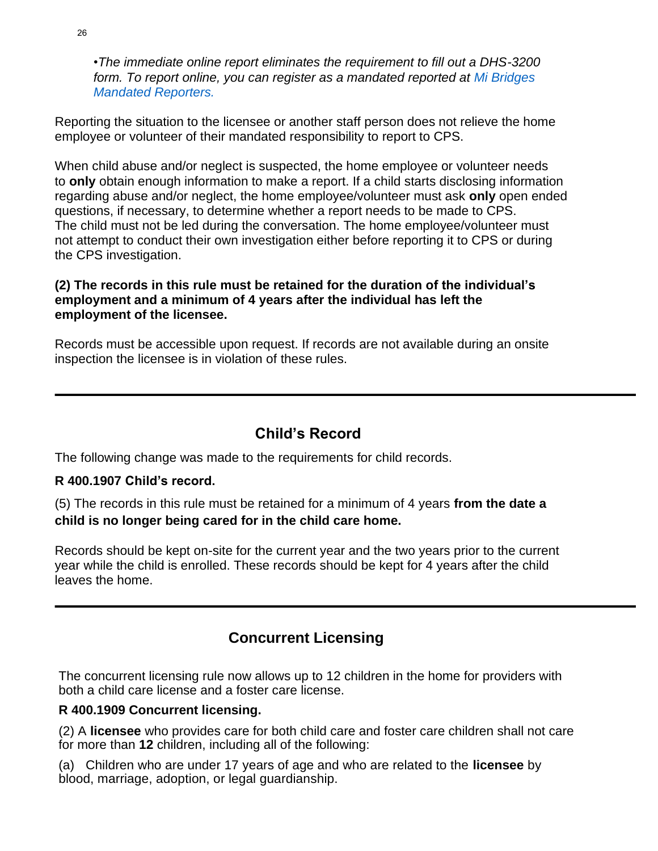•*The immediate online report eliminates the requirement to fill out a DHS-3200 form. To report online, you can register as a mandated reported at Mi Bridges Mandated Reporters.*

Reporting the situation to the licensee or another staff person does not relieve the home employee or volunteer of their mandated responsibility to report to CPS.

When child abuse and/or neglect is suspected, the home employee or volunteer needs to **only** obtain enough information to make a report. If a child starts disclosing information regarding abuse and/or neglect, the home employee/volunteer must ask **only** open ended questions, if necessary, to determine whether a report needs to be made to CPS. The child must not be led during the conversation. The home employee/volunteer must not attempt to conduct their own investigation either before reporting it to CPS or during the CPS investigation.

### **(2) The records in this rule must be retained for the duration of the individual's employment and a minimum of 4 years after the individual has left the employment of the licensee.**

Records must be accessible upon request. If records are not available during an onsite inspection the licensee is in violation of these rules.

# **Child's Record**

The following change was made to the requirements for child records.

### **R 400.1907 Child's record.**

(5) The records in this rule must be retained for a minimum of 4 years **from the date a child is no longer being cared for in the child care home.**

Records should be kept on-site for the current year and the two years prior to the current year while the child is enrolled. These records should be kept for 4 years after the child leaves the home.

# **Concurrent Licensing**

The concurrent licensing rule now allows up to 12 children in the home for providers with both a child care license and a foster care license.

### **R 400.1909 Concurrent licensing.**

(2) A **licensee** who provides care for both child care and foster care children shall not care for more than **12** children, including all of the following:

(a) Children who are under 17 years of age and who are related to the **licensee** by blood, marriage, adoption, or legal guardianship.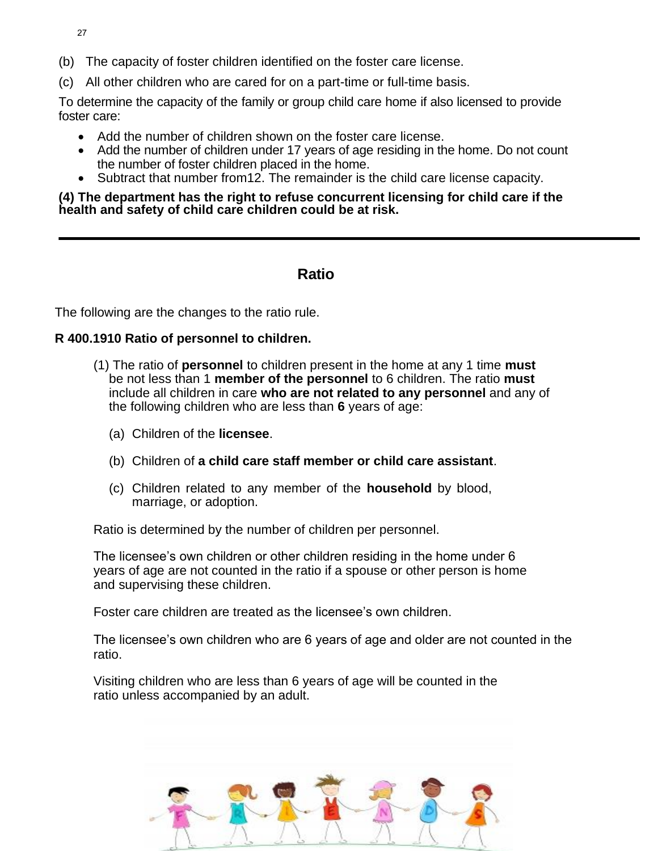- 27
- (b) The capacity of foster children identified on the foster care license.
- (c) All other children who are cared for on a part-time or full-time basis.

To determine the capacity of the family or group child care home if also licensed to provide foster care:

- Add the number of children shown on the foster care license.
- Add the number of children under 17 years of age residing in the home. Do not count the number of foster children placed in the home.
- Subtract that number from12. The remainder is the child care license capacity.

### **(4) The department has the right to refuse concurrent licensing for child care if the health and safety of child care children could be at risk.**

### **Ratio**

The following are the changes to the ratio rule.

### **R 400.1910 Ratio of personnel to children.**

- (1) The ratio of **personnel** to children present in the home at any 1 time **must**  be not less than 1 **member of the personnel** to 6 children. The ratio **must**  include all children in care **who are not related to any personnel** and any of the following children who are less than **6** years of age:
	- (a) Children of the **licensee**.
	- (b) Children of **a child care staff member or child care assistant**.
	- (c) Children related to any member of the **household** by blood, marriage, or adoption.

Ratio is determined by the number of children per personnel.

The licensee's own children or other children residing in the home under 6 years of age are not counted in the ratio if a spouse or other person is home and supervising these children.

Foster care children are treated as the licensee's own children.

The licensee's own children who are 6 years of age and older are not counted in the ratio.

Visiting children who are less than 6 years of age will be counted in the ratio unless accompanied by an adult.

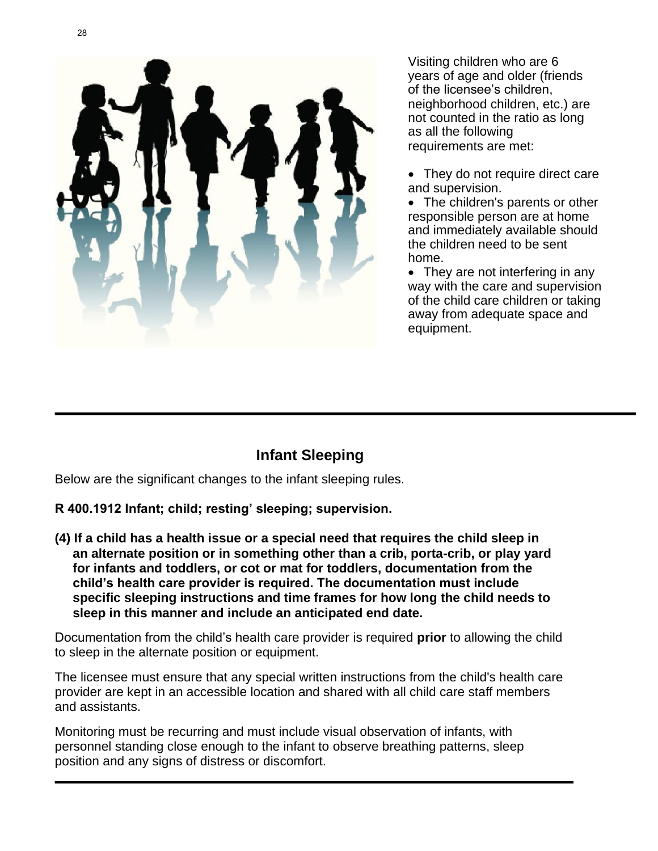

Visiting children who are 6 years of age and older (friends of the licensee's children, neighborhood children, etc.) are not counted in the ratio as long as all the following requirements are met:

• They do not require direct care and supervision.

• The children's parents or other responsible person are at home and immediately available should the children need to be sent home.

• They are not interfering in any way with the care and supervision of the child care children or taking away from adequate space and equipment.

# **Infant Sleeping**

Below are the significant changes to the infant sleeping rules.

**R 400.1912 Infant; child; resting' sleeping; supervision.**

**(4) If a child has a health issue or a special need that requires the child sleep in an alternate position or in something other than a crib, porta-crib, or play yard for infants and toddlers, or cot or mat for toddlers, documentation from the child's health care provider is required. The documentation must include specific sleeping instructions and time frames for how long the child needs to sleep in this manner and include an anticipated end date.**

Documentation from the child's health care provider is required **prior** to allowing the child to sleep in the alternate position or equipment.

The licensee must ensure that any special written instructions from the child's health care provider are kept in an accessible location and shared with all child care staff members and assistants.

Monitoring must be recurring and must include visual observation of infants, with personnel standing close enough to the infant to observe breathing patterns, sleep position and any signs of distress or discomfort.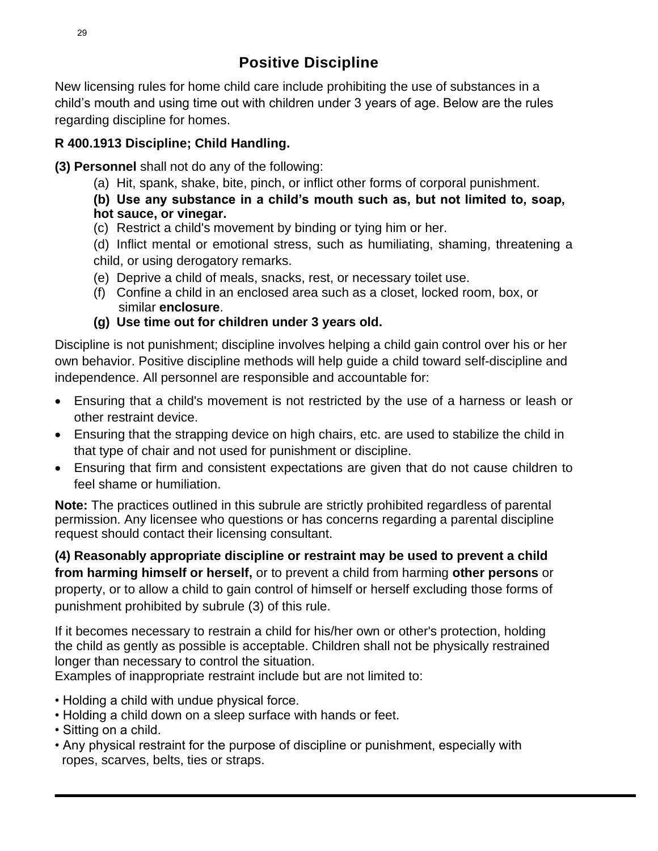New licensing rules for home child care include prohibiting the use of substances in a child's mouth and using time out with children under 3 years of age. Below are the rules regarding discipline for homes.

### **R 400.1913 Discipline; Child Handling.**

**(3) Personnel** shall not do any of the following:

- (a) Hit, spank, shake, bite, pinch, or inflict other forms of corporal punishment.
- **(b) Use any substance in a child's mouth such as, but not limited to, soap, hot sauce, or vinegar.**
- (c) Restrict a child's movement by binding or tying him or her.
- (d) Inflict mental or emotional stress, such as humiliating, shaming, threatening a child, or using derogatory remarks.
- (e) Deprive a child of meals, snacks, rest, or necessary toilet use.
- (f) Confine a child in an enclosed area such as a closet, locked room, box, or similar **enclosure**.

### **(g) Use time out for children under 3 years old.**

Discipline is not punishment; discipline involves helping a child gain control over his or her own behavior. Positive discipline methods will help guide a child toward self-discipline and independence. All personnel are responsible and accountable for:

- Ensuring that a child's movement is not restricted by the use of a harness or leash or other restraint device.
- Ensuring that the strapping device on high chairs, etc. are used to stabilize the child in that type of chair and not used for punishment or discipline.
- Ensuring that firm and consistent expectations are given that do not cause children to feel shame or humiliation.

**Note:** The practices outlined in this subrule are strictly prohibited regardless of parental permission. Any licensee who questions or has concerns regarding a parental discipline request should contact their licensing consultant.

**(4) Reasonably appropriate discipline or restraint may be used to prevent a child from harming himself or herself,** or to prevent a child from harming **other persons** or property, or to allow a child to gain control of himself or herself excluding those forms of punishment prohibited by subrule (3) of this rule.

If it becomes necessary to restrain a child for his/her own or other's protection, holding the child as gently as possible is acceptable. Children shall not be physically restrained longer than necessary to control the situation.

Examples of inappropriate restraint include but are not limited to:

- Holding a child with undue physical force.
- Holding a child down on a sleep surface with hands or feet.
- Sitting on a child.
- Any physical restraint for the purpose of discipline or punishment, especially with ropes, scarves, belts, ties or straps.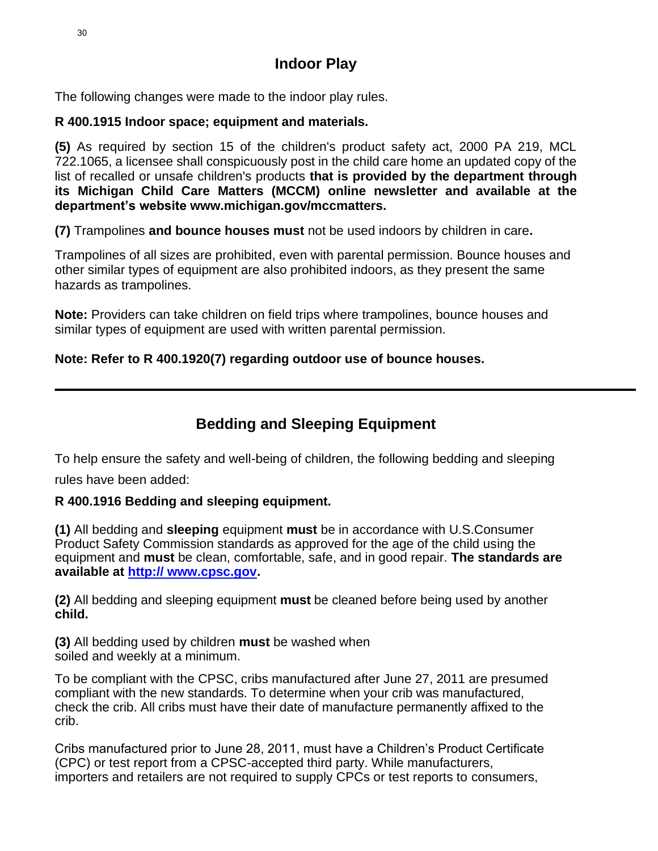# **Indoor Play**

The following changes were made to the indoor play rules.

### **R 400.1915 Indoor space; equipment and materials.**

**(5)** As required by section 15 of the children's product safety act, 2000 PA 219, MCL 722.1065, a licensee shall conspicuously post in the child care home an updated copy of the list of recalled or unsafe children's products **that is provided by the department through its Michigan Child Care Matters (MCCM) online newsletter and available at the department's website www.michigan.gov/mccmatters.**

**(7)** Trampolines **and bounce houses must** not be used indoors by children in care**.** 

Trampolines of all sizes are prohibited, even with parental permission. Bounce houses and other similar types of equipment are also prohibited indoors, as they present the same hazards as trampolines.

**Note:** Providers can take children on field trips where trampolines, bounce houses and similar types of equipment are used with written parental permission.

### **Note: Refer to R 400.1920(7) regarding outdoor use of bounce houses.**

# **Bedding and Sleeping Equipment**

To help ensure the safety and well-being of children, the following bedding and sleeping

rules have been added:

### **R 400.1916 Bedding and sleeping equipment.**

**(1)** All bedding and **sleeping** equipment **must** be in accordance with U.S.Consumer Product Safety Commission standards as approved for the age of the child using the equipment and **must** be clean, comfortable, safe, and in good repair. **The standards are available at [http:// www.cpsc.gov.](http://www.cpsc.gov/)**

**(2)** All bedding and sleeping equipment **must** be cleaned before being used by another **child.**

**(3)** All bedding used by children **must** be washed when soiled and weekly at a minimum.

To be compliant with the CPSC, cribs manufactured after June 27, 2011 are presumed compliant with the new standards. To determine when your crib was manufactured, check the crib. All cribs must have their date of manufacture permanently affixed to the crib.

Cribs manufactured prior to June 28, 2011, must have a Children's Product Certificate (CPC) or test report from a CPSC-accepted third party. While manufacturers, importers and retailers are not required to supply CPCs or test reports to consumers,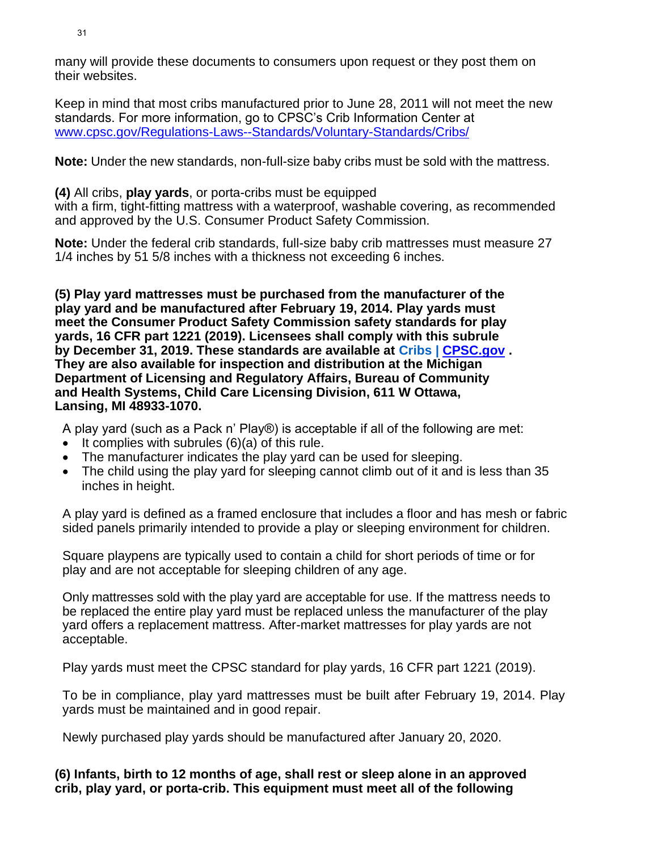many will provide these documents to consumers upon request or they post them on their websites.

Keep in mind that most cribs manufactured prior to June 28, 2011 will not meet the new standards. For more information, go to CPSC's Crib Information Center at [www.cpsc.gov/Regulations-Laws--Standards/Voluntary-Standards/Cribs/](http://www.cpsc.gov/Regulations-Laws--Standards/Voluntary-Standards/Cribs/)

**Note:** Under the new standards, non-full-size baby cribs must be sold with the mattress.

**(4)** All cribs, **play yards**, or porta-cribs must be equipped

with a firm, tight-fitting mattress with a waterproof, washable covering, as recommended and approved by the U.S. Consumer Product Safety Commission.

**Note:** Under the federal crib standards, full-size baby crib mattresses must measure 27 1/4 inches by 51 5/8 inches with a thickness not exceeding 6 inches.

**(5) Play yard mattresses must be purchased from the manufacturer of the play yard and be manufactured after February 19, 2014. Play yards must meet the Consumer Product Safety Commission safety standards for play yards, 16 CFR part 1221 (2019). Licensees shall comply with this subrule by December 31, 2019. These standards are available at Cribs | [CPSC.gov](http://cpsc.gov/) . They are also available for inspection and distribution at the Michigan Department of Licensing and Regulatory Affairs, Bureau of Community and Health Systems, Child Care Licensing Division, 611 W Ottawa, Lansing, MI 48933-1070.**

A play yard (such as a Pack n' Play®) is acceptable if all of the following are met:

- It complies with subrules (6)(a) of this rule.
- The manufacturer indicates the play yard can be used for sleeping.
- The child using the play yard for sleeping cannot climb out of it and is less than 35 inches in height.

A play yard is defined as a framed enclosure that includes a floor and has mesh or fabric sided panels primarily intended to provide a play or sleeping environment for children.

Square playpens are typically used to contain a child for short periods of time or for play and are not acceptable for sleeping children of any age.

Only mattresses sold with the play yard are acceptable for use. If the mattress needs to be replaced the entire play yard must be replaced unless the manufacturer of the play yard offers a replacement mattress. After-market mattresses for play yards are not acceptable.

Play yards must meet the CPSC standard for play yards, 16 CFR part 1221 (2019).

To be in compliance, play yard mattresses must be built after February 19, 2014. Play yards must be maintained and in good repair.

Newly purchased play yards should be manufactured after January 20, 2020.

**(6) Infants, birth to 12 months of age, shall rest or sleep alone in an approved crib, play yard, or porta-crib. This equipment must meet all of the following**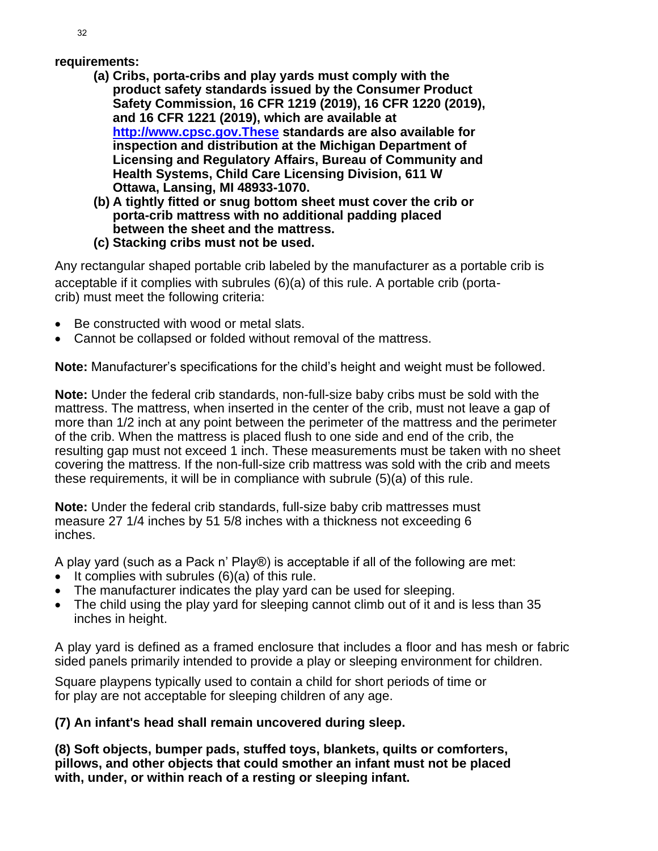### **requirements:**

- **(a) Cribs, porta-cribs and play yards must comply with the product safety standards issued by the Consumer Product Safety Commission, 16 CFR 1219 (2019), 16 CFR 1220 (2019), and 16 CFR 1221 (2019), which are available at [http://www.cpsc.gov.These](http://www.cpsc.gov.these/) standards are also available for inspection and distribution at the Michigan Department of Licensing and Regulatory Affairs, Bureau of Community and Health Systems, Child Care Licensing Division, 611 W Ottawa, Lansing, MI 48933-1070.**
- **(b) A tightly fitted or snug bottom sheet must cover the crib or porta-crib mattress with no additional padding placed between the sheet and the mattress.**
- **(c) Stacking cribs must not be used.**

Any rectangular shaped portable crib labeled by the manufacturer as a portable crib is acceptable if it complies with subrules (6)(a) of this rule. A portable crib (portacrib) must meet the following criteria:

- Be constructed with wood or metal slats.
- Cannot be collapsed or folded without removal of the mattress.

**Note:** Manufacturer's specifications for the child's height and weight must be followed.

**Note:** Under the federal crib standards, non-full-size baby cribs must be sold with the mattress. The mattress, when inserted in the center of the crib, must not leave a gap of more than 1/2 inch at any point between the perimeter of the mattress and the perimeter of the crib. When the mattress is placed flush to one side and end of the crib, the resulting gap must not exceed 1 inch. These measurements must be taken with no sheet covering the mattress. If the non-full-size crib mattress was sold with the crib and meets these requirements, it will be in compliance with subrule (5)(a) of this rule.

**Note:** Under the federal crib standards, full-size baby crib mattresses must measure 27 1/4 inches by 51 5/8 inches with a thickness not exceeding 6 inches.

A play yard (such as a Pack n' Play®) is acceptable if all of the following are met:

- It complies with subrules (6)(a) of this rule.
- The manufacturer indicates the play yard can be used for sleeping.
- The child using the play yard for sleeping cannot climb out of it and is less than 35 inches in height.

A play yard is defined as a framed enclosure that includes a floor and has mesh or fabric sided panels primarily intended to provide a play or sleeping environment for children.

Square playpens typically used to contain a child for short periods of time or for play are not acceptable for sleeping children of any age.

### **(7) An infant's head shall remain uncovered during sleep.**

**(8) Soft objects, bumper pads, stuffed toys, blankets, quilts or comforters, pillows, and other objects that could smother an infant must not be placed with, under, or within reach of a resting or sleeping infant.**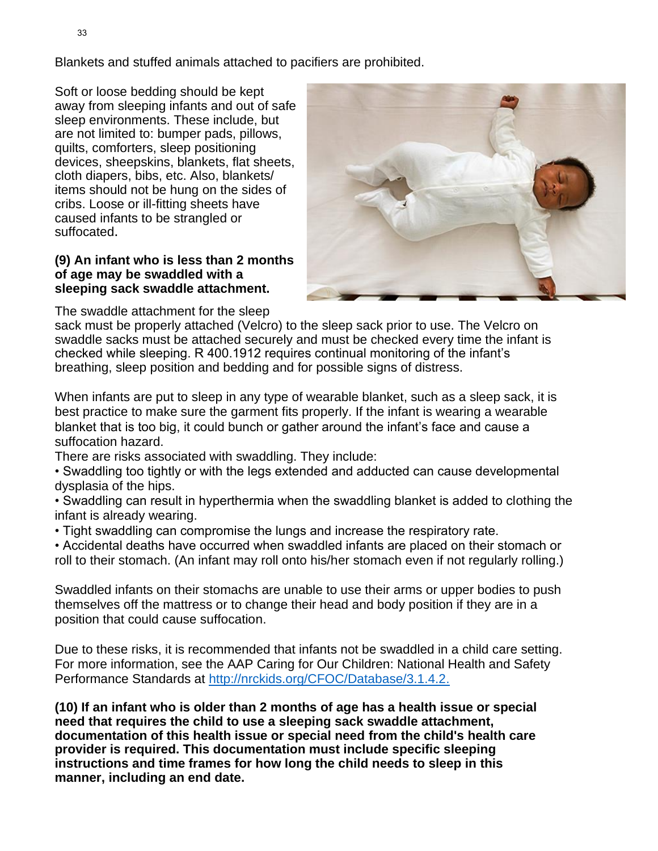Blankets and stuffed animals attached to pacifiers are prohibited.

Soft or loose bedding should be kept away from sleeping infants and out of safe sleep environments. These include, but are not limited to: bumper pads, pillows, quilts, comforters, sleep positioning devices, sheepskins, blankets, flat sheets, cloth diapers, bibs, etc. Also, blankets/ items should not be hung on the sides of cribs. Loose or ill-fitting sheets have caused infants to be strangled or suffocated.

### **(9) An infant who is less than 2 months of age may be swaddled with a sleeping sack swaddle attachment.**



The swaddle attachment for the sleep

sack must be properly attached (Velcro) to the sleep sack prior to use. The Velcro on swaddle sacks must be attached securely and must be checked every time the infant is checked while sleeping. R 400.1912 requires continual monitoring of the infant's breathing, sleep position and bedding and for possible signs of distress.

When infants are put to sleep in any type of wearable blanket, such as a sleep sack, it is best practice to make sure the garment fits properly. If the infant is wearing a wearable blanket that is too big, it could bunch or gather around the infant's face and cause a suffocation hazard.

There are risks associated with swaddling. They include:

• Swaddling too tightly or with the legs extended and adducted can cause developmental dysplasia of the hips.

• Swaddling can result in hyperthermia when the swaddling blanket is added to clothing the infant is already wearing.

• Tight swaddling can compromise the lungs and increase the respiratory rate.

• Accidental deaths have occurred when swaddled infants are placed on their stomach or roll to their stomach. (An infant may roll onto his/her stomach even if not regularly rolling.)

Swaddled infants on their stomachs are unable to use their arms or upper bodies to push themselves off the mattress or to change their head and body position if they are in a position that could cause suffocation.

Due to these risks, it is recommended that infants not be swaddled in a child care setting. For more information, see the AAP Caring for Our Children: National Health and Safety Performance Standards at [http://nrckids.org/CFOC/Database/3.1.4.2.](http://nrckids.org/CFOC/Database/3.1.4.2)

**(10) If an infant who is older than 2 months of age has a health issue or special need that requires the child to use a sleeping sack swaddle attachment, documentation of this health issue or special need from the child's health care provider is required. This documentation must include specific sleeping instructions and time frames for how long the child needs to sleep in this manner, including an end date.**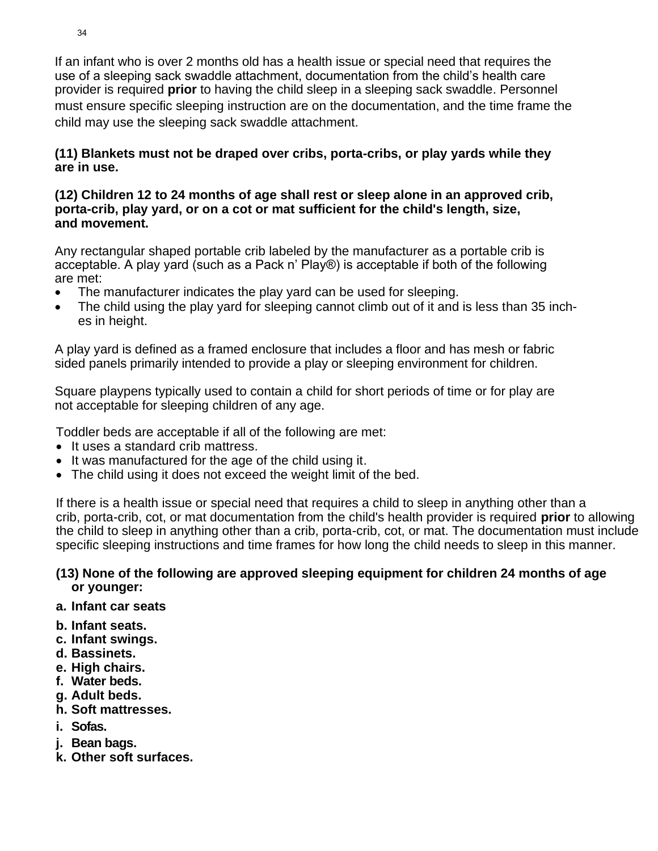If an infant who is over 2 months old has a health issue or special need that requires the use of a sleeping sack swaddle attachment, documentation from the child's health care provider is required **prior** to having the child sleep in a sleeping sack swaddle. Personnel must ensure specific sleeping instruction are on the documentation, and the time frame the child may use the sleeping sack swaddle attachment.

### **(11) Blankets must not be draped over cribs, porta-cribs, or play yards while they are in use.**

### **(12) Children 12 to 24 months of age shall rest or sleep alone in an approved crib, porta-crib, play yard, or on a cot or mat sufficient for the child's length, size, and movement.**

Any rectangular shaped portable crib labeled by the manufacturer as a portable crib is acceptable. A play yard (such as a Pack n' Play®) is acceptable if both of the following are met:

- The manufacturer indicates the play yard can be used for sleeping.
- The child using the play yard for sleeping cannot climb out of it and is less than 35 inches in height.

A play yard is defined as a framed enclosure that includes a floor and has mesh or fabric sided panels primarily intended to provide a play or sleeping environment for children.

Square playpens typically used to contain a child for short periods of time or for play are not acceptable for sleeping children of any age.

Toddler beds are acceptable if all of the following are met:

- It uses a standard crib mattress.
- It was manufactured for the age of the child using it.
- The child using it does not exceed the weight limit of the bed.

If there is a health issue or special need that requires a child to sleep in anything other than a crib, porta-crib, cot, or mat documentation from the child's health provider is required **prior** to allowing the child to sleep in anything other than a crib, porta-crib, cot, or mat. The documentation must include specific sleeping instructions and time frames for how long the child needs to sleep in this manner.

### **(13) None of the following are approved sleeping equipment for children 24 months of age or younger:**

- **a. Infant car seats**
- **b. Infant seats.**
- **c. Infant swings.**
- **d. Bassinets.**
- **e. High chairs.**
- **f. Water beds.**
- **g. Adult beds.**
- **h. Soft mattresses.**
- **i. Sofas.**
- **j. Bean bags.**
- **k. Other soft surfaces.**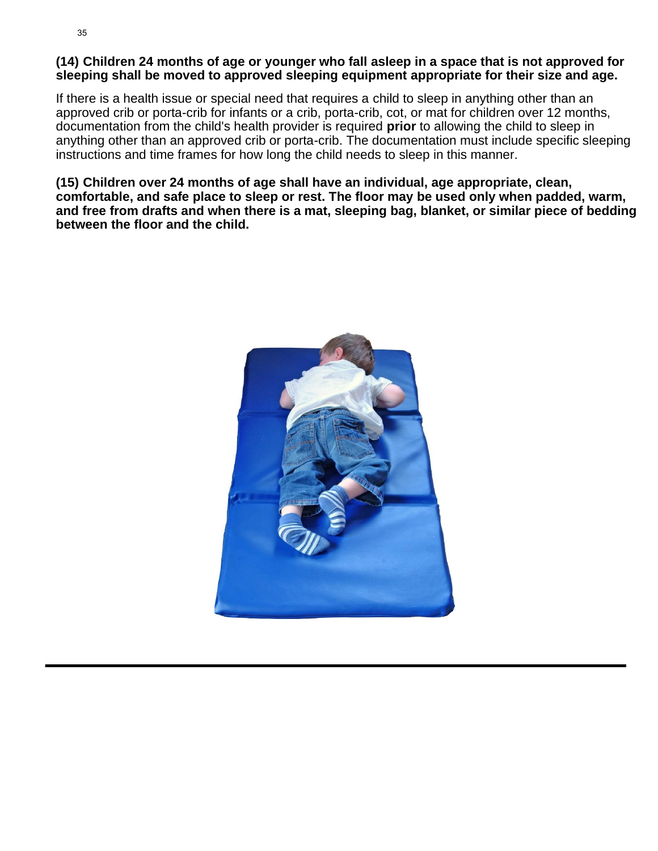### **(14) Children 24 months of age or younger who fall asleep in a space that is not approved for sleeping shall be moved to approved sleeping equipment appropriate for their size and age.**

If there is a health issue or special need that requires a child to sleep in anything other than an approved crib or porta-crib for infants or a crib, porta-crib, cot, or mat for children over 12 months, documentation from the child's health provider is required **prior** to allowing the child to sleep in anything other than an approved crib or porta-crib. The documentation must include specific sleeping instructions and time frames for how long the child needs to sleep in this manner.

**(15) Children over 24 months of age shall have an individual, age appropriate, clean, comfortable, and safe place to sleep or rest. The floor may be used only when padded, warm, and free from drafts and when there is a mat, sleeping bag, blanket, or similar piece of bedding between the floor and the child.**

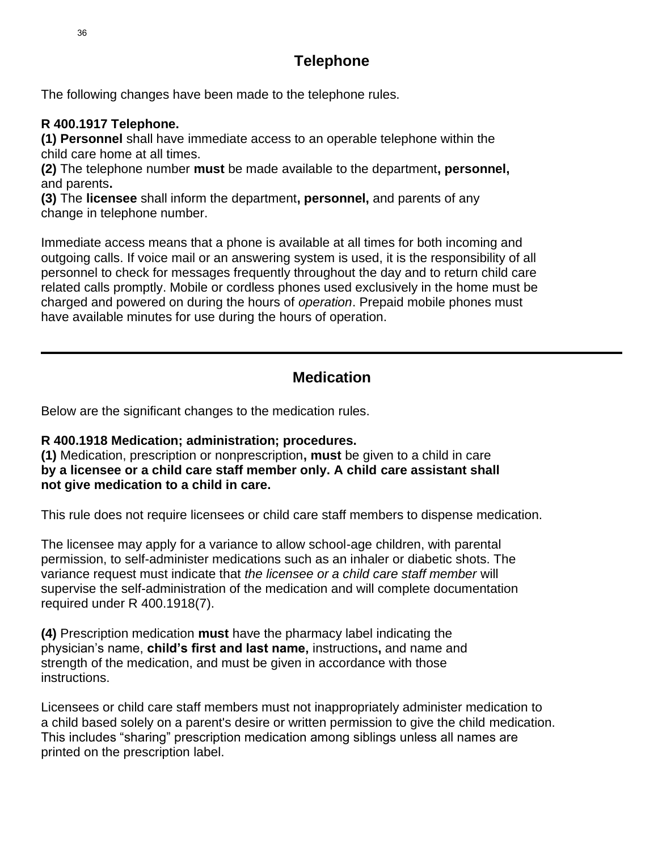# **Telephone**

The following changes have been made to the telephone rules.

### **R 400.1917 Telephone.**

**(1) Personnel** shall have immediate access to an operable telephone within the child care home at all times.

**(2)** The telephone number **must** be made available to the department**, personnel,** and parents**.**

**(3)** The **licensee** shall inform the department**, personnel,** and parents of any change in telephone number.

Immediate access means that a phone is available at all times for both incoming and outgoing calls. If voice mail or an answering system is used, it is the responsibility of all personnel to check for messages frequently throughout the day and to return child care related calls promptly. Mobile or cordless phones used exclusively in the home must be charged and powered on during the hours of *operation*. Prepaid mobile phones must have available minutes for use during the hours of operation.

# **Medication**

Below are the significant changes to the medication rules.

### **R 400.1918 Medication; administration; procedures.**

**(1)** Medication, prescription or nonprescription**, must** be given to a child in care **by a licensee or a child care staff member only. A child care assistant shall not give medication to a child in care.**

This rule does not require licensees or child care staff members to dispense medication.

The licensee may apply for a variance to allow school-age children, with parental permission, to self-administer medications such as an inhaler or diabetic shots. The variance request must indicate that *the licensee or a child care staff member* will supervise the self-administration of the medication and will complete documentation required under R 400.1918(7).

**(4)** Prescription medication **must** have the pharmacy label indicating the physician's name, **child's first and last name,** instructions**,** and name and strength of the medication, and must be given in accordance with those instructions.

Licensees or child care staff members must not inappropriately administer medication to a child based solely on a parent's desire or written permission to give the child medication. This includes "sharing" prescription medication among siblings unless all names are printed on the prescription label.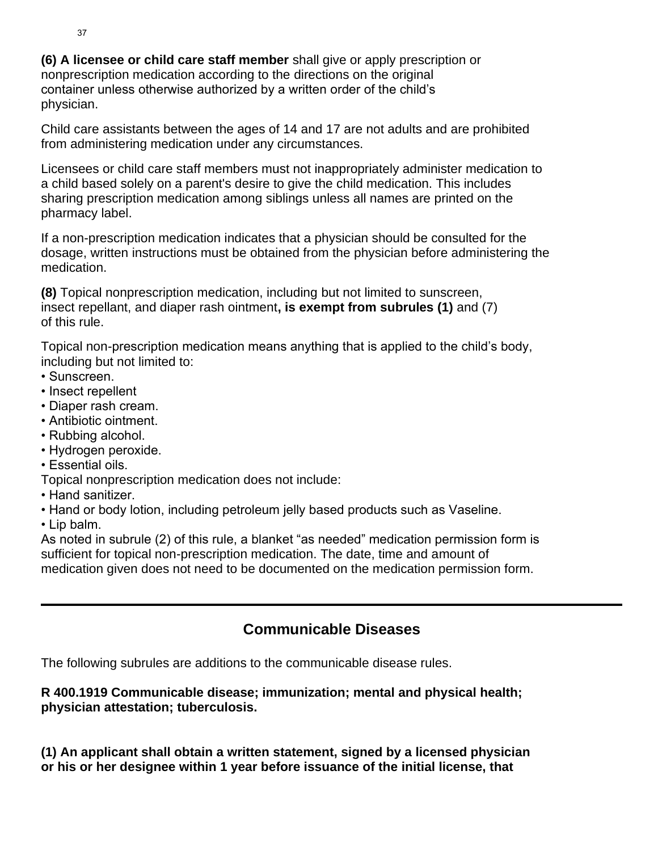**(6) A licensee or child care staff member** shall give or apply prescription or nonprescription medication according to the directions on the original container unless otherwise authorized by a written order of the child's physician.

Child care assistants between the ages of 14 and 17 are not adults and are prohibited from administering medication under any circumstances.

Licensees or child care staff members must not inappropriately administer medication to a child based solely on a parent's desire to give the child medication. This includes sharing prescription medication among siblings unless all names are printed on the pharmacy label.

If a non-prescription medication indicates that a physician should be consulted for the dosage, written instructions must be obtained from the physician before administering the medication.

**(8)** Topical nonprescription medication, including but not limited to sunscreen, insect repellant, and diaper rash ointment**, is exempt from subrules (1)** and (7) of this rule.

Topical non-prescription medication means anything that is applied to the child's body, including but not limited to:

- Sunscreen.
- Insect repellent
- Diaper rash cream.
- Antibiotic ointment.
- Rubbing alcohol.
- Hydrogen peroxide.
- Essential oils.
- Topical nonprescription medication does not include:
- Hand sanitizer.
- Hand or body lotion, including petroleum jelly based products such as Vaseline.
- Lip balm.

As noted in subrule (2) of this rule, a blanket "as needed" medication permission form is sufficient for topical non-prescription medication. The date, time and amount of medication given does not need to be documented on the medication permission form.

# **Communicable Diseases**

The following subrules are additions to the communicable disease rules.

### **R 400.1919 Communicable disease; immunization; mental and physical health; physician attestation; tuberculosis.**

**(1) An applicant shall obtain a written statement, signed by a licensed physician or his or her designee within 1 year before issuance of the initial license, that**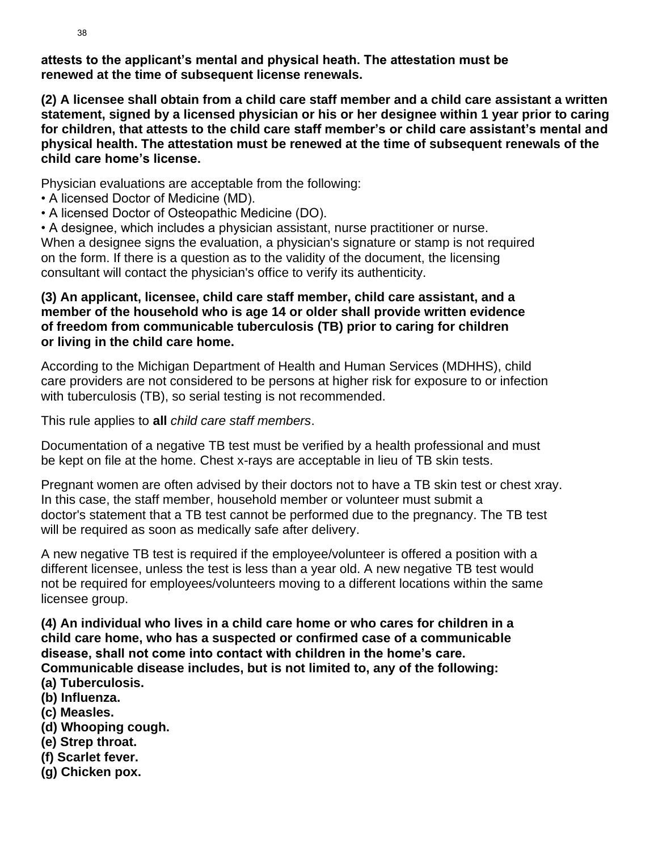**attests to the applicant's mental and physical heath. The attestation must be renewed at the time of subsequent license renewals.**

**(2) A licensee shall obtain from a child care staff member and a child care assistant a written statement, signed by a licensed physician or his or her designee within 1 year prior to caring for children, that attests to the child care staff member's or child care assistant's mental and physical health. The attestation must be renewed at the time of subsequent renewals of the child care home's license.**

Physician evaluations are acceptable from the following:

- A licensed Doctor of Medicine (MD).
- A licensed Doctor of Osteopathic Medicine (DO).

• A designee, which includes a physician assistant, nurse practitioner or nurse. When a designee signs the evaluation, a physician's signature or stamp is not required on the form. If there is a question as to the validity of the document, the licensing consultant will contact the physician's office to verify its authenticity.

### **(3) An applicant, licensee, child care staff member, child care assistant, and a member of the household who is age 14 or older shall provide written evidence of freedom from communicable tuberculosis (TB) prior to caring for children or living in the child care home.**

According to the Michigan Department of Health and Human Services (MDHHS), child care providers are not considered to be persons at higher risk for exposure to or infection with tuberculosis (TB), so serial testing is not recommended.

This rule applies to **all** *child care staff members*.

Documentation of a negative TB test must be verified by a health professional and must be kept on file at the home. Chest x-rays are acceptable in lieu of TB skin tests.

Pregnant women are often advised by their doctors not to have a TB skin test or chest xray. In this case, the staff member, household member or volunteer must submit a doctor's statement that a TB test cannot be performed due to the pregnancy. The TB test will be required as soon as medically safe after delivery.

A new negative TB test is required if the employee/volunteer is offered a position with a different licensee, unless the test is less than a year old. A new negative TB test would not be required for employees/volunteers moving to a different locations within the same licensee group.

**(4) An individual who lives in a child care home or who cares for children in a child care home, who has a suspected or confirmed case of a communicable disease, shall not come into contact with children in the home's care. Communicable disease includes, but is not limited to, any of the following:**

- **(a) Tuberculosis.**
- **(b) Influenza.**
- **(c) Measles.**
- **(d) Whooping cough.**
- **(e) Strep throat.**
- **(f) Scarlet fever.**
- **(g) Chicken pox.**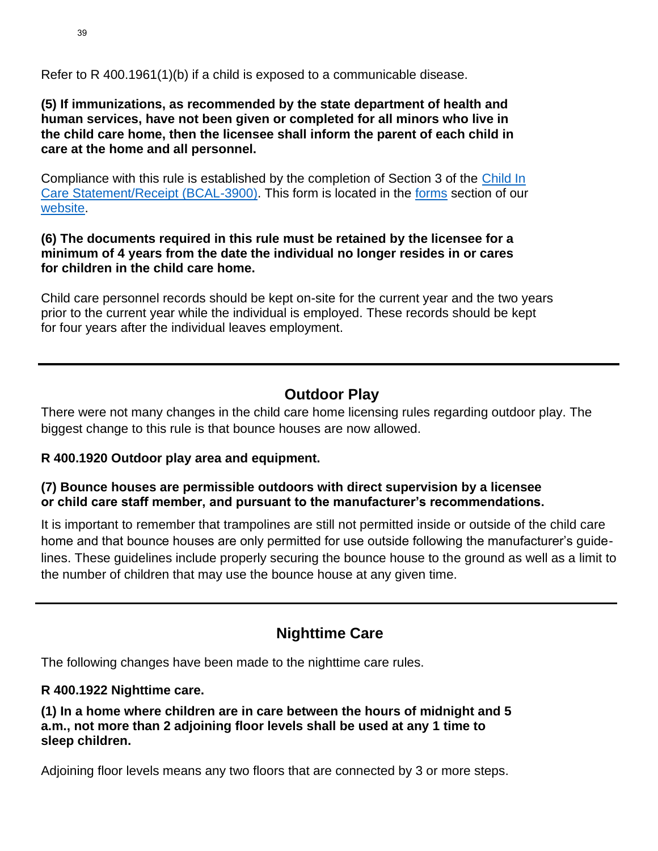Refer to R 400.1961(1)(b) if a child is exposed to a communicable disease.

**(5) If immunizations, as recommended by the state department of health and human services, have not been given or completed for all minors who live in the child care home, then the licensee shall inform the parent of each child in care at the home and all personnel.**

Compliance with this rule is established by the completion of Section 3 of the [Child In](https://www.michigan.gov/documents/lara/BCAL-3900_8_15_fillable_2_498147_7.pdf) [Care Statement/Receipt \(BCAL-3900\).](https://www.michigan.gov/documents/lara/BCAL-3900_8_15_fillable_2_498147_7.pdf) This form is located in the [forms](https://www.michigan.gov/lara/0,4601,7-154-89334_63294_5529_49572_49584---,00.html) section of our [website.](https://www.michigan.gov/lara/0,4601,7-154-89334_63294_5529---,00.html)

### **(6) The documents required in this rule must be retained by the licensee for a minimum of 4 years from the date the individual no longer resides in or cares for children in the child care home.**

Child care personnel records should be kept on-site for the current year and the two years prior to the current year while the individual is employed. These records should be kept for four years after the individual leaves employment.

# **Outdoor Play**

There were not many changes in the child care home licensing rules regarding outdoor play. The biggest change to this rule is that bounce houses are now allowed.

### **R 400.1920 Outdoor play area and equipment.**

### **(7) Bounce houses are permissible outdoors with direct supervision by a licensee or child care staff member, and pursuant to the manufacturer's recommendations.**

It is important to remember that trampolines are still not permitted inside or outside of the child care home and that bounce houses are only permitted for use outside following the manufacturer's guidelines. These guidelines include properly securing the bounce house to the ground as well as a limit to the number of children that may use the bounce house at any given time.

# **Nighttime Care**

The following changes have been made to the nighttime care rules.

### **R 400.1922 Nighttime care.**

**(1) In a home where children are in care between the hours of midnight and 5 a.m., not more than 2 adjoining floor levels shall be used at any 1 time to sleep children.**

Adjoining floor levels means any two floors that are connected by 3 or more steps.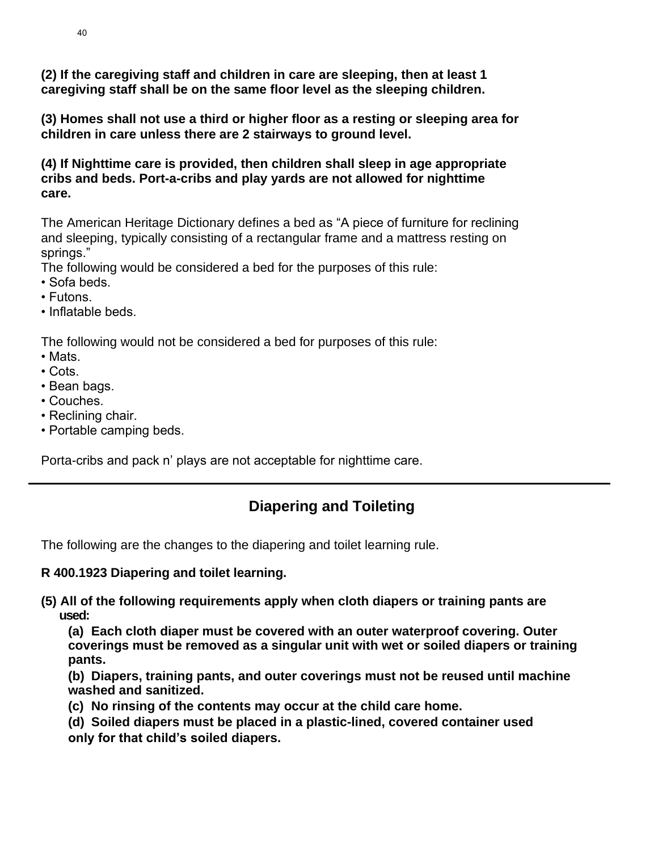**(2) If the caregiving staff and children in care are sleeping, then at least 1 caregiving staff shall be on the same floor level as the sleeping children.**

**(3) Homes shall not use a third or higher floor as a resting or sleeping area for children in care unless there are 2 stairways to ground level.**

**(4) If Nighttime care is provided, then children shall sleep in age appropriate cribs and beds. Port-a-cribs and play yards are not allowed for nighttime care.**

The American Heritage Dictionary defines a bed as "A piece of furniture for reclining and sleeping, typically consisting of a rectangular frame and a mattress resting on springs."

The following would be considered a bed for the purposes of this rule:

- Sofa beds.
- Futons.
- Inflatable beds.

The following would not be considered a bed for purposes of this rule:

- Mats.
- Cots.
- Bean bags.
- Couches.
- Reclining chair.
- Portable camping beds.

Porta-cribs and pack n' plays are not acceptable for nighttime care.

# **Diapering and Toileting**

The following are the changes to the diapering and toilet learning rule.

### **R 400.1923 Diapering and toilet learning.**

**(5) All of the following requirements apply when cloth diapers or training pants are used:**

**(a) Each cloth diaper must be covered with an outer waterproof covering. Outer coverings must be removed as a singular unit with wet or soiled diapers or training pants.**

**(b) Diapers, training pants, and outer coverings must not be reused until machine washed and sanitized.**

- **(c) No rinsing of the contents may occur at the child care home.**
- **(d) Soiled diapers must be placed in a plastic-lined, covered container used only for that child's soiled diapers.**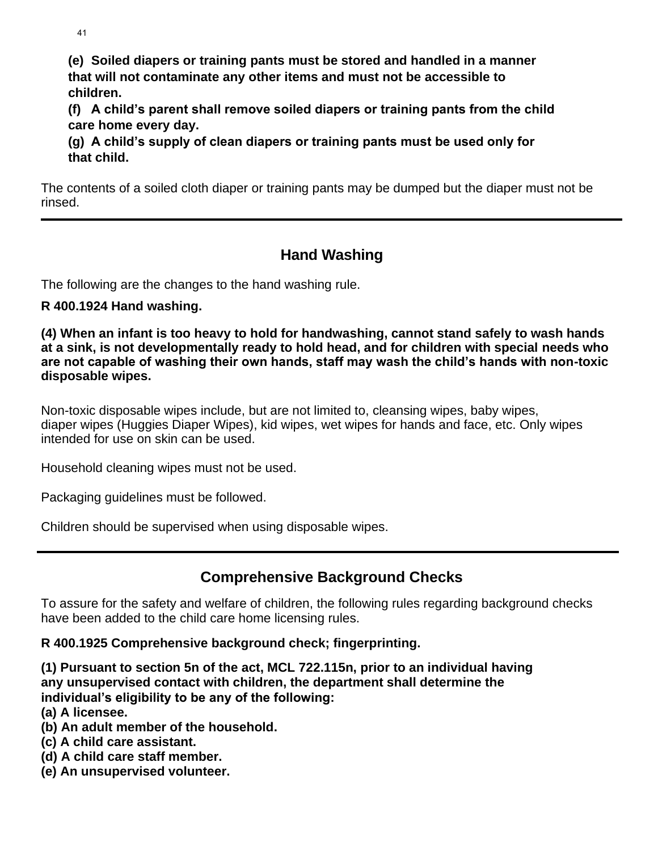41

**(e) Soiled diapers or training pants must be stored and handled in a manner that will not contaminate any other items and must not be accessible to children.**

**(f) A child's parent shall remove soiled diapers or training pants from the child care home every day.**

**(g) A child's supply of clean diapers or training pants must be used only for that child.**

The contents of a soiled cloth diaper or training pants may be dumped but the diaper must not be rinsed.

# **Hand Washing**

The following are the changes to the hand washing rule.

### **R 400.1924 Hand washing.**

**(4) When an infant is too heavy to hold for handwashing, cannot stand safely to wash hands at a sink, is not developmentally ready to hold head, and for children with special needs who are not capable of washing their own hands, staff may wash the child's hands with non-toxic disposable wipes.**

Non-toxic disposable wipes include, but are not limited to, cleansing wipes, baby wipes, diaper wipes (Huggies Diaper Wipes), kid wipes, wet wipes for hands and face, etc. Only wipes intended for use on skin can be used.

Household cleaning wipes must not be used.

Packaging guidelines must be followed.

Children should be supervised when using disposable wipes.

# **Comprehensive Background Checks**

To assure for the safety and welfare of children, the following rules regarding background checks have been added to the child care home licensing rules.

### **R 400.1925 Comprehensive background check; fingerprinting.**

**(1) Pursuant to section 5n of the act, MCL 722.115n, prior to an individual having any unsupervised contact with children, the department shall determine the individual's eligibility to be any of the following:**

- **(a) A licensee.**
- **(b) An adult member of the household.**
- **(c) A child care assistant.**
- **(d) A child care staff member.**
- **(e) An unsupervised volunteer.**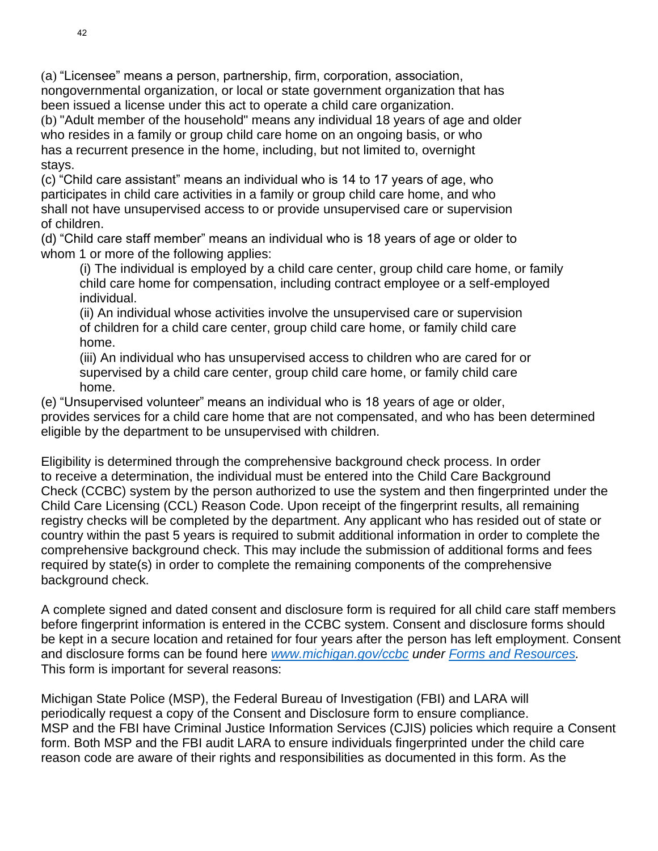(a) "Licensee" means a person, partnership, firm, corporation, association, nongovernmental organization, or local or state government organization that has been issued a license under this act to operate a child care organization.

(b) "Adult member of the household" means any individual 18 years of age and older who resides in a family or group child care home on an ongoing basis, or who has a recurrent presence in the home, including, but not limited to, overnight stays.

(c) "Child care assistant" means an individual who is 14 to 17 years of age, who participates in child care activities in a family or group child care home, and who shall not have unsupervised access to or provide unsupervised care or supervision of children.

(d) "Child care staff member" means an individual who is 18 years of age or older to whom 1 or more of the following applies:

(i) The individual is employed by a child care center, group child care home, or family child care home for compensation, including contract employee or a self-employed individual.

(ii) An individual whose activities involve the unsupervised care or supervision of children for a child care center, group child care home, or family child care home.

(iii) An individual who has unsupervised access to children who are cared for or supervised by a child care center, group child care home, or family child care home.

(e) "Unsupervised volunteer" means an individual who is 18 years of age or older, provides services for a child care home that are not compensated, and who has been determined eligible by the department to be unsupervised with children.

Eligibility is determined through the comprehensive background check process. In order to receive a determination, the individual must be entered into the Child Care Background Check (CCBC) system by the person authorized to use the system and then fingerprinted under the Child Care Licensing (CCL) Reason Code. Upon receipt of the fingerprint results, all remaining registry checks will be completed by the department. Any applicant who has resided out of state or country within the past 5 years is required to submit additional information in order to complete the comprehensive background check. This may include the submission of additional forms and fees required by state(s) in order to complete the remaining components of the comprehensive background check.

A complete signed and dated consent and disclosure form is required for all child care staff members before fingerprint information is entered in the CCBC system. Consent and disclosure forms should be kept in a secure location and retained for four years after the person has left employment. Consent and disclosure forms can be found here *[www.michigan.gov/ccbc](http://www.michigan.gov/ccbc) under [Forms and Resources.](https://miltcpartnership.org/childcareportal/home/formsandresources)* This form is important for several reasons:

Michigan State Police (MSP), the Federal Bureau of Investigation (FBI) and LARA will periodically request a copy of the Consent and Disclosure form to ensure compliance. MSP and the FBI have Criminal Justice Information Services (CJIS) policies which require a Consent form. Both MSP and the FBI audit LARA to ensure individuals fingerprinted under the child care reason code are aware of their rights and responsibilities as documented in this form. As the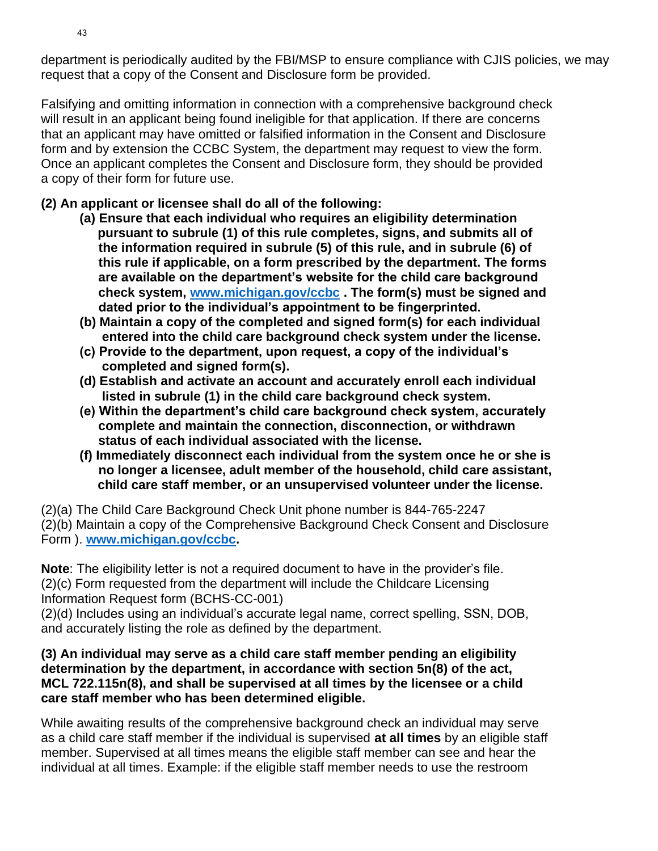department is periodically audited by the FBI/MSP to ensure compliance with CJIS policies, we may request that a copy of the Consent and Disclosure form be provided.

Falsifying and omitting information in connection with a comprehensive background check will result in an applicant being found ineligible for that application. If there are concerns that an applicant may have omitted or falsified information in the Consent and Disclosure form and by extension the CCBC System, the department may request to view the form. Once an applicant completes the Consent and Disclosure form, they should be provided a copy of their form for future use.

### **(2) An applicant or licensee shall do all of the following:**

- **(a) Ensure that each individual who requires an eligibility determination pursuant to subrule (1) of this rule completes, signs, and submits all of the information required in subrule (5) of this rule, and in subrule (6) of this rule if applicable, on a form prescribed by the department. The forms are available on the department's website for the child care background check system, [www.michigan.gov/ccbc](http://www.michigan.gov/ccbc) . The form(s) must be signed and dated prior to the individual's appointment to be fingerprinted.**
- **(b) Maintain a copy of the completed and signed form(s) for each individual entered into the child care background check system under the license.**
- **(c) Provide to the department, upon request, a copy of the individual's completed and signed form(s).**
- **(d) Establish and activate an account and accurately enroll each individual listed in subrule (1) in the child care background check system.**
- **(e) Within the department's child care background check system, accurately complete and maintain the connection, disconnection, or withdrawn status of each individual associated with the license.**
- **(f) Immediately disconnect each individual from the system once he or she is no longer a licensee, adult member of the household, child care assistant, child care staff member, or an unsupervised volunteer under the license.**

(2)(a) The Child Care Background Check Unit phone number is 844-765-2247

(2)(b) Maintain a copy of the Comprehensive Background Check Consent and Disclosure Form ). **[www.michigan.gov/ccbc.](http://www.michigan.gov/ccbc)**

**Note**: The eligibility letter is not a required document to have in the provider's file. (2)(c) Form requested from the department will include the Childcare Licensing Information Request form (BCHS-CC-001)

(2)(d) Includes using an individual's accurate legal name, correct spelling, SSN, DOB, and accurately listing the role as defined by the department.

### **(3) An individual may serve as a child care staff member pending an eligibility determination by the department, in accordance with section 5n(8) of the act, MCL 722.115n(8), and shall be supervised at all times by the licensee or a child care staff member who has been determined eligible.**

While awaiting results of the comprehensive background check an individual may serve as a child care staff member if the individual is supervised **at all times** by an eligible staff member. Supervised at all times means the eligible staff member can see and hear the individual at all times. Example: if the eligible staff member needs to use the restroom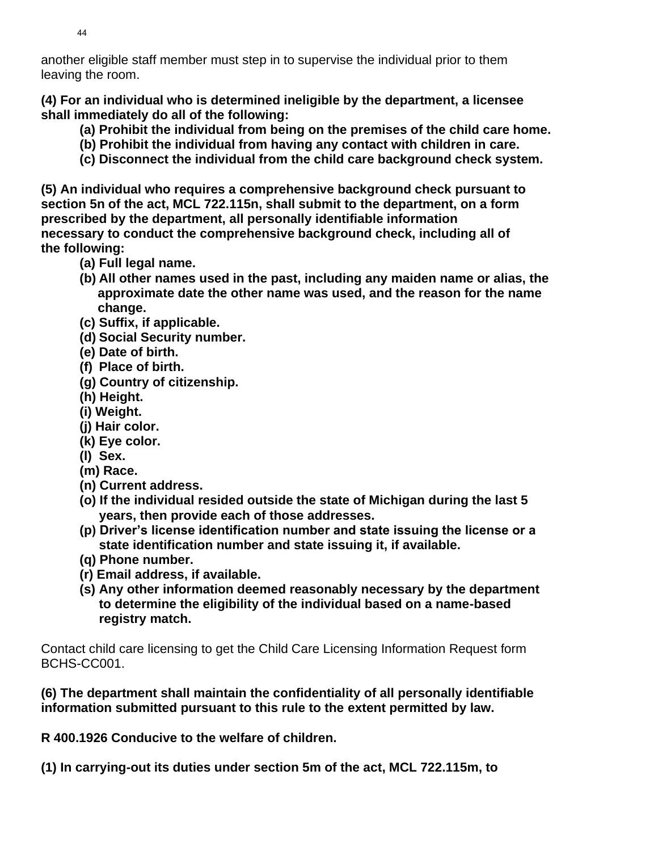another eligible staff member must step in to supervise the individual prior to them leaving the room.

**(4) For an individual who is determined ineligible by the department, a licensee shall immediately do all of the following:**

- **(a) Prohibit the individual from being on the premises of the child care home.**
- **(b) Prohibit the individual from having any contact with children in care.**
- **(c) Disconnect the individual from the child care background check system.**

**(5) An individual who requires a comprehensive background check pursuant to section 5n of the act, MCL 722.115n, shall submit to the department, on a form prescribed by the department, all personally identifiable information necessary to conduct the comprehensive background check, including all of the following:**

- **(a) Full legal name.**
- **(b) All other names used in the past, including any maiden name or alias, the approximate date the other name was used, and the reason for the name change.**
- **(c) Suffix, if applicable.**
- **(d) Social Security number.**
- **(e) Date of birth.**
- **(f) Place of birth.**
- **(g) Country of citizenship.**
- **(h) Height.**
- **(i) Weight.**
- **(j) Hair color.**
- **(k) Eye color.**
- **(l) Sex.**
- **(m) Race.**
- **(n) Current address.**
- **(o) If the individual resided outside the state of Michigan during the last 5 years, then provide each of those addresses.**
- **(p) Driver's license identification number and state issuing the license or a state identification number and state issuing it, if available.**
- **(q) Phone number.**
- **(r) Email address, if available.**
- **(s) Any other information deemed reasonably necessary by the department to determine the eligibility of the individual based on a name-based registry match.**

Contact child care licensing to get the Child Care Licensing Information Request form BCHS-CC001.

**(6) The department shall maintain the confidentiality of all personally identifiable information submitted pursuant to this rule to the extent permitted by law.**

**R 400.1926 Conducive to the welfare of children.**

**(1) In carrying-out its duties under section 5m of the act, MCL 722.115m, to**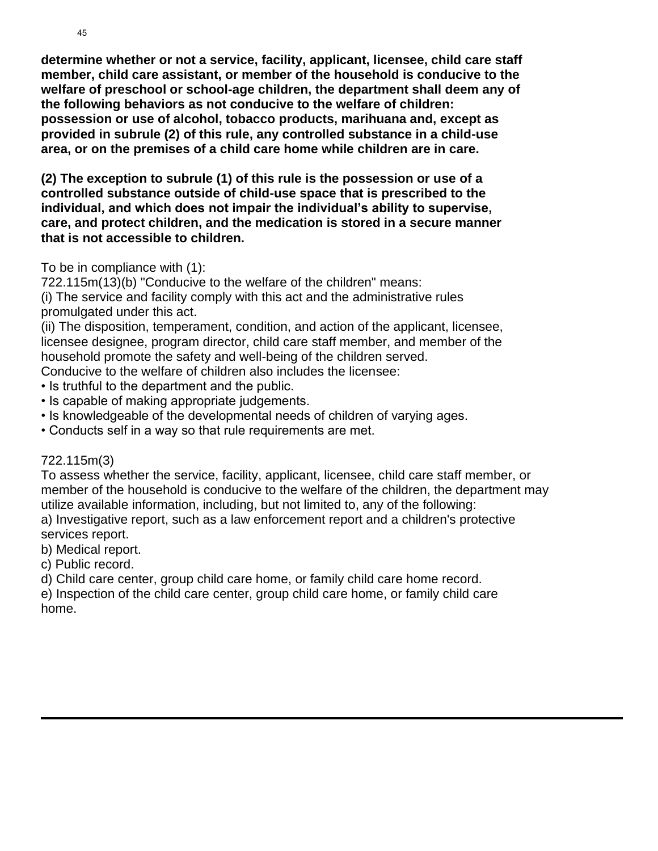**determine whether or not a service, facility, applicant, licensee, child care staff member, child care assistant, or member of the household is conducive to the welfare of preschool or school-age children, the department shall deem any of the following behaviors as not conducive to the welfare of children: possession or use of alcohol, tobacco products, marihuana and, except as provided in subrule (2) of this rule, any controlled substance in a child-use area, or on the premises of a child care home while children are in care.**

**(2) The exception to subrule (1) of this rule is the possession or use of a controlled substance outside of child-use space that is prescribed to the individual, and which does not impair the individual's ability to supervise, care, and protect children, and the medication is stored in a secure manner that is not accessible to children.**

### To be in compliance with (1):

722.115m(13)(b) "Conducive to the welfare of the children" means:

(i) The service and facility comply with this act and the administrative rules promulgated under this act.

(ii) The disposition, temperament, condition, and action of the applicant, licensee, licensee designee, program director, child care staff member, and member of the household promote the safety and well-being of the children served.

Conducive to the welfare of children also includes the licensee:

- Is truthful to the department and the public.
- Is capable of making appropriate judgements.
- Is knowledgeable of the developmental needs of children of varying ages.
- Conducts self in a way so that rule requirements are met.

### 722.115m(3)

To assess whether the service, facility, applicant, licensee, child care staff member, or member of the household is conducive to the welfare of the children, the department may utilize available information, including, but not limited to, any of the following:

a) Investigative report, such as a law enforcement report and a children's protective services report.

b) Medical report.

c) Public record.

d) Child care center, group child care home, or family child care home record.

e) Inspection of the child care center, group child care home, or family child care home.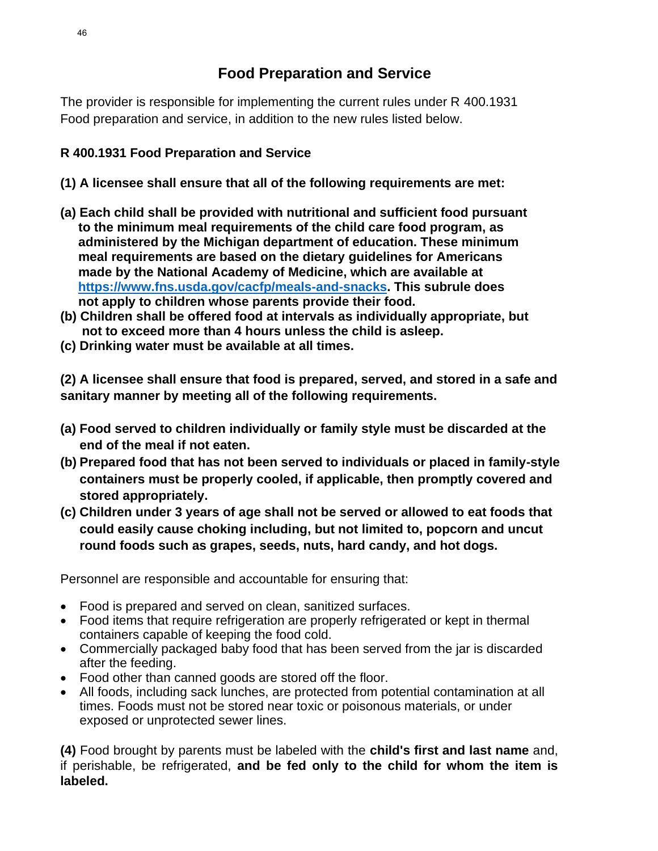The provider is responsible for implementing the current rules under R 400.1931 Food preparation and service, in addition to the new rules listed below.

### **R 400.1931 Food Preparation and Service**

- **(1) A licensee shall ensure that all of the following requirements are met:**
- **(a) Each child shall be provided with nutritional and sufficient food pursuant to the minimum meal requirements of the child care food program, as administered by the Michigan department of education. These minimum meal requirements are based on the dietary guidelines for Americans made by the National Academy of Medicine, which are available at [https://www.fns.usda.gov/cacfp/meals-and-snacks.](https://www.fns.usda.gov/cacfp/meals-and-snacks) This subrule does not apply to children whose parents provide their food.**
- **(b) Children shall be offered food at intervals as individually appropriate, but not to exceed more than 4 hours unless the child is asleep.**
- **(c) Drinking water must be available at all times.**

**(2) A licensee shall ensure that food is prepared, served, and stored in a safe and sanitary manner by meeting all of the following requirements.**

- **(a) Food served to children individually or family style must be discarded at the end of the meal if not eaten.**
- **(b) Prepared food that has not been served to individuals or placed in family-style containers must be properly cooled, if applicable, then promptly covered and stored appropriately.**
- **(c) Children under 3 years of age shall not be served or allowed to eat foods that could easily cause choking including, but not limited to, popcorn and uncut round foods such as grapes, seeds, nuts, hard candy, and hot dogs.**

Personnel are responsible and accountable for ensuring that:

- Food is prepared and served on clean, sanitized surfaces.
- Food items that require refrigeration are properly refrigerated or kept in thermal containers capable of keeping the food cold.
- Commercially packaged baby food that has been served from the jar is discarded after the feeding.
- Food other than canned goods are stored off the floor.
- All foods, including sack lunches, are protected from potential contamination at all times. Foods must not be stored near toxic or poisonous materials, or under exposed or unprotected sewer lines.

**(4)** Food brought by parents must be labeled with the **child's first and last name** and, if perishable, be refrigerated, **and be fed only to the child for whom the item is labeled.**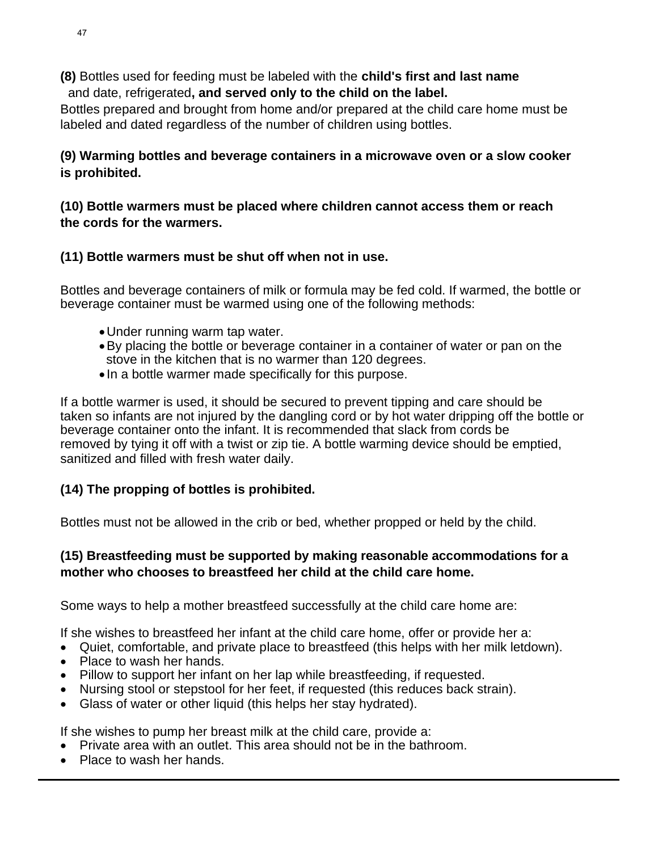**(8)** Bottles used for feeding must be labeled with the **child's first and last name** and date, refrigerated**, and served only to the child on the label.**

Bottles prepared and brought from home and/or prepared at the child care home must be labeled and dated regardless of the number of children using bottles.

### **(9) Warming bottles and beverage containers in a microwave oven or a slow cooker is prohibited.**

### **(10) Bottle warmers must be placed where children cannot access them or reach the cords for the warmers.**

### **(11) Bottle warmers must be shut off when not in use.**

Bottles and beverage containers of milk or formula may be fed cold. If warmed, the bottle or beverage container must be warmed using one of the following methods:

- •Under running warm tap water.
- •By placing the bottle or beverage container in a container of water or pan on the stove in the kitchen that is no warmer than 120 degrees.
- In a bottle warmer made specifically for this purpose.

If a bottle warmer is used, it should be secured to prevent tipping and care should be taken so infants are not injured by the dangling cord or by hot water dripping off the bottle or beverage container onto the infant. It is recommended that slack from cords be removed by tying it off with a twist or zip tie. A bottle warming device should be emptied, sanitized and filled with fresh water daily.

### **(14) The propping of bottles is prohibited.**

Bottles must not be allowed in the crib or bed, whether propped or held by the child.

### **(15) Breastfeeding must be supported by making reasonable accommodations for a mother who chooses to breastfeed her child at the child care home.**

Some ways to help a mother breastfeed successfully at the child care home are:

If she wishes to breastfeed her infant at the child care home, offer or provide her a:

- Quiet, comfortable, and private place to breastfeed (this helps with her milk letdown).
- Place to wash her hands.
- Pillow to support her infant on her lap while breastfeeding, if requested.
- Nursing stool or stepstool for her feet, if requested (this reduces back strain).
- Glass of water or other liquid (this helps her stay hydrated).

If she wishes to pump her breast milk at the child care, provide a:

- Private area with an outlet. This area should not be in the bathroom.
- Place to wash her hands.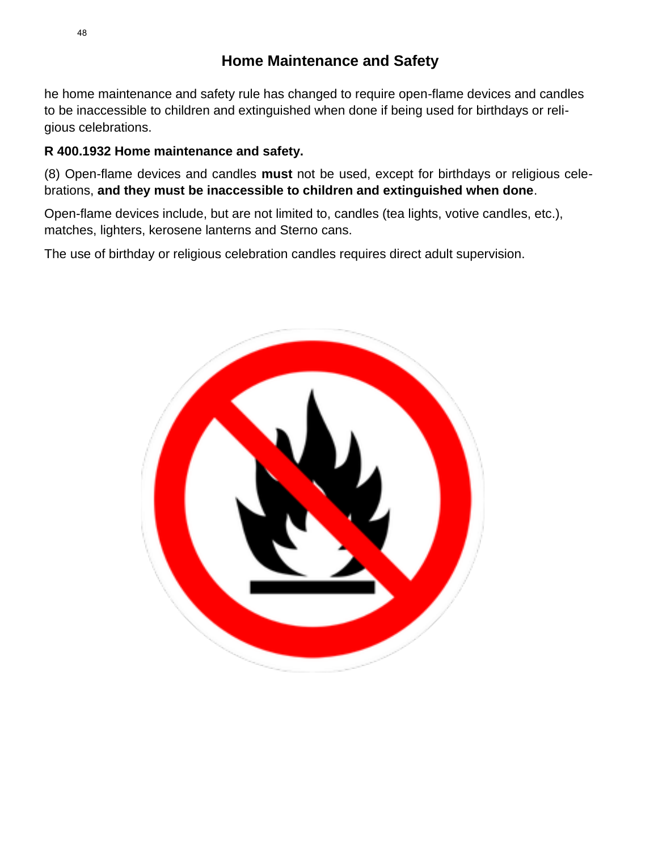# **Home Maintenance and Safety**

he home maintenance and safety rule has changed to require open-flame devices and candles to be inaccessible to children and extinguished when done if being used for birthdays or religious celebrations.

### **R 400.1932 Home maintenance and safety.**

(8) Open-flame devices and candles **must** not be used, except for birthdays or religious celebrations, **and they must be inaccessible to children and extinguished when done**.

Open-flame devices include, but are not limited to, candles (tea lights, votive candles, etc.), matches, lighters, kerosene lanterns and Sterno cans.

The use of birthday or religious celebration candles requires direct adult supervision.

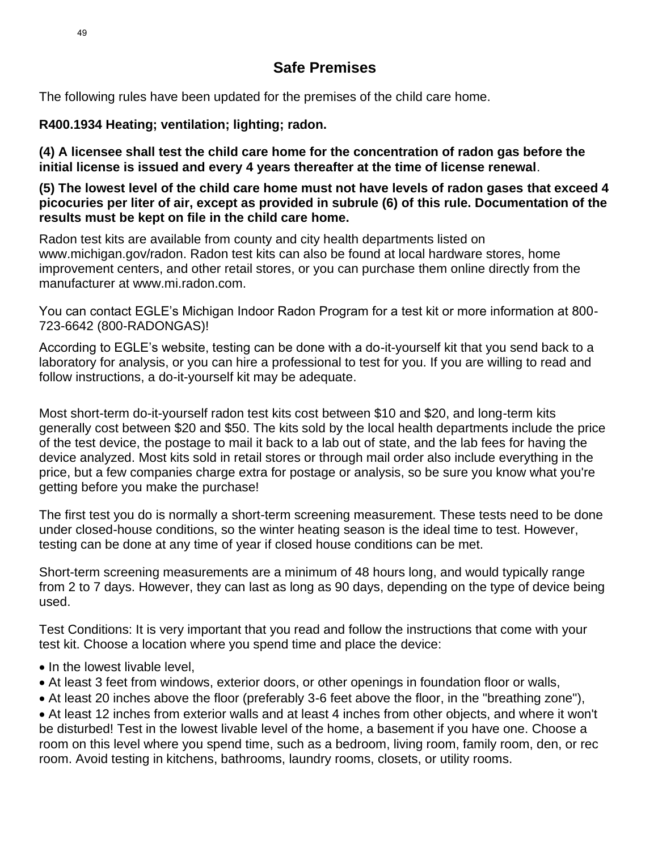# **Safe Premises**

The following rules have been updated for the premises of the child care home.

**R400.1934 Heating; ventilation; lighting; radon.**

**(4) A licensee shall test the child care home for the concentration of radon gas before the initial license is issued and every 4 years thereafter at the time of license renewal**.

**(5) The lowest level of the child care home must not have levels of radon gases that exceed 4 picocuries per liter of air, except as provided in subrule (6) of this rule. Documentation of the results must be kept on file in the child care home.**

Radon test kits are available from county and city health departments listed on www.michigan.gov/radon. Radon test kits can also be found at local hardware stores, home improvement centers, and other retail stores, or you can purchase them online directly from the manufacturer at www.mi.radon.com.

You can contact EGLE's Michigan Indoor Radon Program for a test kit or more information at 800- 723-6642 (800-RADONGAS)!

According to EGLE's website, testing can be done with a do-it-yourself kit that you send back to a laboratory for analysis, or you can hire a professional to test for you. If you are willing to read and follow instructions, a do-it-yourself kit may be adequate.

Most short-term do-it-yourself radon test kits cost between \$10 and \$20, and long-term kits generally cost between \$20 and \$50. The kits sold by the local health departments include the price of the test device, the postage to mail it back to a lab out of state, and the lab fees for having the device analyzed. Most kits sold in retail stores or through mail order also include everything in the price, but a few companies charge extra for postage or analysis, so be sure you know what you're getting before you make the purchase!

The first test you do is normally a short-term screening measurement. These tests need to be done under closed-house conditions, so the winter heating season is the ideal time to test. However, testing can be done at any time of year if closed house conditions can be met.

Short-term screening measurements are a minimum of 48 hours long, and would typically range from 2 to 7 days. However, they can last as long as 90 days, depending on the type of device being used.

Test Conditions: It is very important that you read and follow the instructions that come with your test kit. Choose a location where you spend time and place the device:

- In the lowest livable level,
- At least 3 feet from windows, exterior doors, or other openings in foundation floor or walls,
- At least 20 inches above the floor (preferably 3-6 feet above the floor, in the "breathing zone"),

• At least 12 inches from exterior walls and at least 4 inches from other objects, and where it won't be disturbed! Test in the lowest livable level of the home, a basement if you have one. Choose a room on this level where you spend time, such as a bedroom, living room, family room, den, or rec room. Avoid testing in kitchens, bathrooms, laundry rooms, closets, or utility rooms.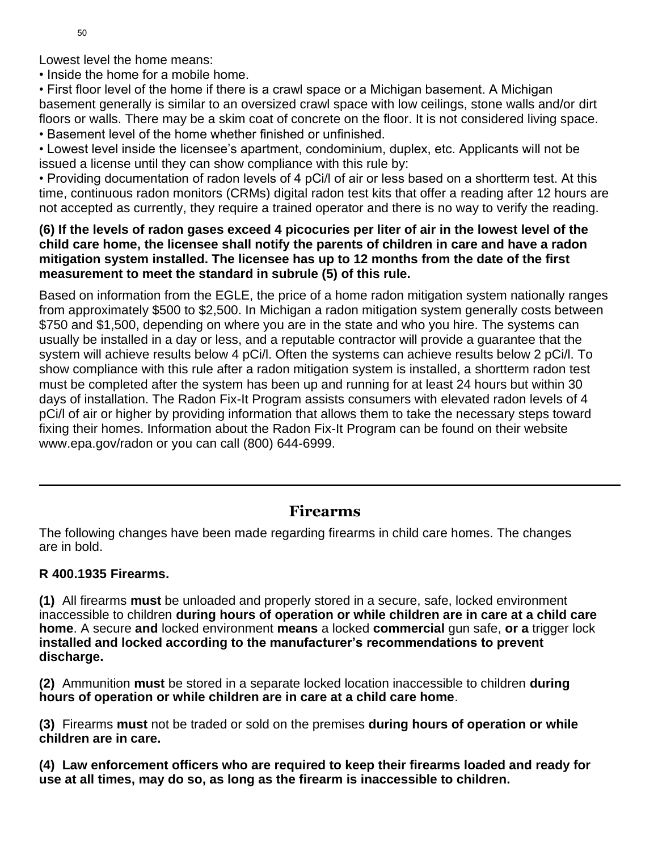Lowest level the home means:

• Inside the home for a mobile home.

• First floor level of the home if there is a crawl space or a Michigan basement. A Michigan basement generally is similar to an oversized crawl space with low ceilings, stone walls and/or dirt floors or walls. There may be a skim coat of concrete on the floor. It is not considered living space. • Basement level of the home whether finished or unfinished.

• Lowest level inside the licensee's apartment, condominium, duplex, etc. Applicants will not be issued a license until they can show compliance with this rule by:

• Providing documentation of radon levels of 4 pCi/l of air or less based on a shortterm test. At this time, continuous radon monitors (CRMs) digital radon test kits that offer a reading after 12 hours are not accepted as currently, they require a trained operator and there is no way to verify the reading.

### **(6) If the levels of radon gases exceed 4 picocuries per liter of air in the lowest level of the child care home, the licensee shall notify the parents of children in care and have a radon mitigation system installed. The licensee has up to 12 months from the date of the first measurement to meet the standard in subrule (5) of this rule.**

Based on information from the EGLE, the price of a home radon mitigation system nationally ranges from approximately \$500 to \$2,500. In Michigan a radon mitigation system generally costs between \$750 and \$1,500, depending on where you are in the state and who you hire. The systems can usually be installed in a day or less, and a reputable contractor will provide a guarantee that the system will achieve results below 4 pCi/l. Often the systems can achieve results below 2 pCi/l. To show compliance with this rule after a radon mitigation system is installed, a shortterm radon test must be completed after the system has been up and running for at least 24 hours but within 30 days of installation. The Radon Fix-It Program assists consumers with elevated radon levels of 4 pCi/l of air or higher by providing information that allows them to take the necessary steps toward fixing their homes. Information about the Radon Fix-It Program can be found on their website www.epa.gov/radon or you can call (800) 644-6999.

### **Firearms**

The following changes have been made regarding firearms in child care homes. The changes are in bold.

### **R 400.1935 Firearms.**

**(1)** All firearms **must** be unloaded and properly stored in a secure, safe, locked environment inaccessible to children **during hours of operation or while children are in care at a child care home**. A secure **and** locked environment **means** a locked **commercial** gun safe, **or a** trigger lock **installed and locked according to the manufacturer's recommendations to prevent discharge.**

**(2)** Ammunition **must** be stored in a separate locked location inaccessible to children **during hours of operation or while children are in care at a child care home**.

**(3)** Firearms **must** not be traded or sold on the premises **during hours of operation or while children are in care.**

**(4) Law enforcement officers who are required to keep their firearms loaded and ready for use at all times, may do so, as long as the firearm is inaccessible to children.**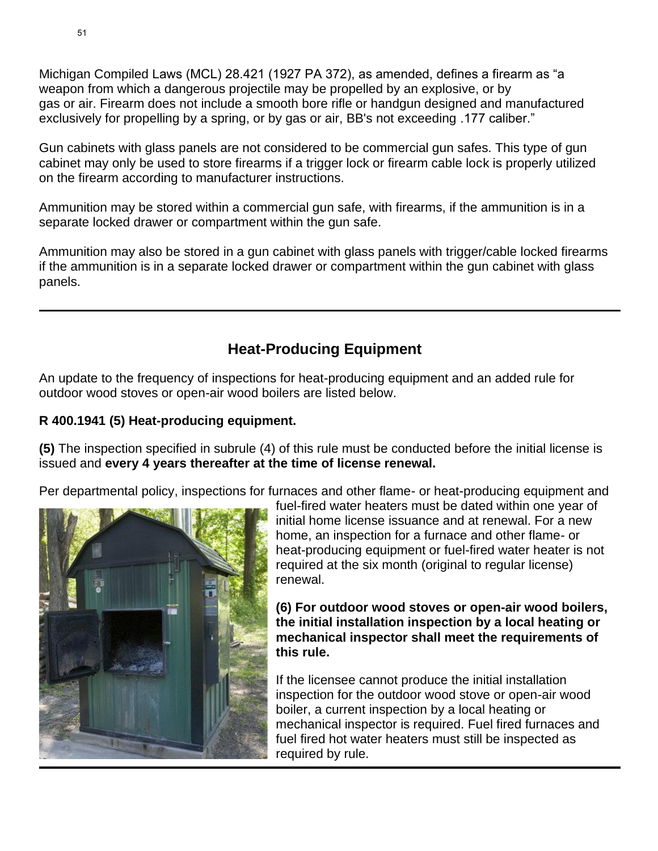Michigan Compiled Laws (MCL) 28.421 (1927 PA 372), as amended, defines a firearm as "a weapon from which a dangerous projectile may be propelled by an explosive, or by gas or air. Firearm does not include a smooth bore rifle or handgun designed and manufactured exclusively for propelling by a spring, or by gas or air, BB's not exceeding .177 caliber."

Gun cabinets with glass panels are not considered to be commercial gun safes. This type of gun cabinet may only be used to store firearms if a trigger lock or firearm cable lock is properly utilized on the firearm according to manufacturer instructions.

Ammunition may be stored within a commercial gun safe, with firearms, if the ammunition is in a separate locked drawer or compartment within the gun safe.

Ammunition may also be stored in a gun cabinet with glass panels with trigger/cable locked firearms if the ammunition is in a separate locked drawer or compartment within the gun cabinet with glass panels.

# **Heat-Producing Equipment**

An update to the frequency of inspections for heat-producing equipment and an added rule for outdoor wood stoves or open-air wood boilers are listed below.

### **R 400.1941 (5) Heat-producing equipment.**

**(5)** The inspection specified in subrule (4) of this rule must be conducted before the initial license is issued and **every 4 years thereafter at the time of license renewal.**

Per departmental policy, inspections for furnaces and other flame- or heat-producing equipment and



fuel-fired water heaters must be dated within one year of initial home license issuance and at renewal. For a new home, an inspection for a furnace and other flame- or heat-producing equipment or fuel-fired water heater is not required at the six month (original to regular license) renewal.

**(6) For outdoor wood stoves or open-air wood boilers, the initial installation inspection by a local heating or mechanical inspector shall meet the requirements of this rule.**

If the licensee cannot produce the initial installation inspection for the outdoor wood stove or open-air wood boiler, a current inspection by a local heating or mechanical inspector is required. Fuel fired furnaces and fuel fired hot water heaters must still be inspected as required by rule.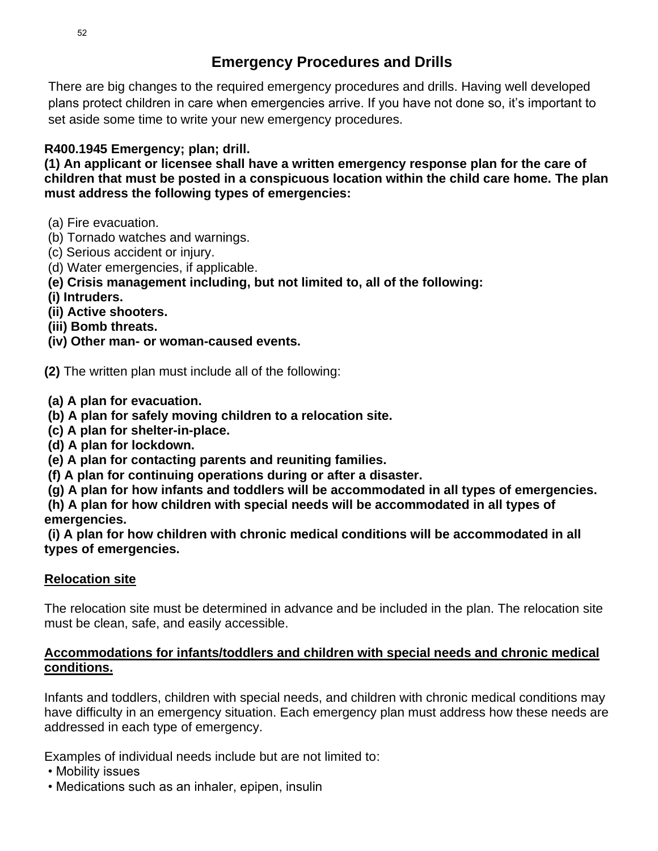# **Emergency Procedures and Drills**

There are big changes to the required emergency procedures and drills. Having well developed plans protect children in care when emergencies arrive. If you have not done so, it's important to set aside some time to write your new emergency procedures.

### **R400.1945 Emergency; plan; drill.**

**(1) An applicant or licensee shall have a written emergency response plan for the care of children that must be posted in a conspicuous location within the child care home. The plan must address the following types of emergencies:**

- (a) Fire evacuation.
- (b) Tornado watches and warnings.
- (c) Serious accident or injury.
- (d) Water emergencies, if applicable.
- **(e) Crisis management including, but not limited to, all of the following:**
- **(i) Intruders.**
- **(ii) Active shooters.**
- **(iii) Bomb threats.**
- **(iv) Other man- or woman-caused events.**

**(2)** The written plan must include all of the following:

- **(a) A plan for evacuation.**
- **(b) A plan for safely moving children to a relocation site.**
- **(c) A plan for shelter-in-place.**
- **(d) A plan for lockdown.**
- **(e) A plan for contacting parents and reuniting families.**
- **(f) A plan for continuing operations during or after a disaster.**
- **(g) A plan for how infants and toddlers will be accommodated in all types of emergencies.**

**(h) A plan for how children with special needs will be accommodated in all types of emergencies.** 

**(i) A plan for how children with chronic medical conditions will be accommodated in all types of emergencies.**

### **Relocation site**

The relocation site must be determined in advance and be included in the plan. The relocation site must be clean, safe, and easily accessible.

### **Accommodations for infants/toddlers and children with special needs and chronic medical conditions.**

Infants and toddlers, children with special needs, and children with chronic medical conditions may have difficulty in an emergency situation. Each emergency plan must address how these needs are addressed in each type of emergency.

Examples of individual needs include but are not limited to:

- Mobility issues
- Medications such as an inhaler, epipen, insulin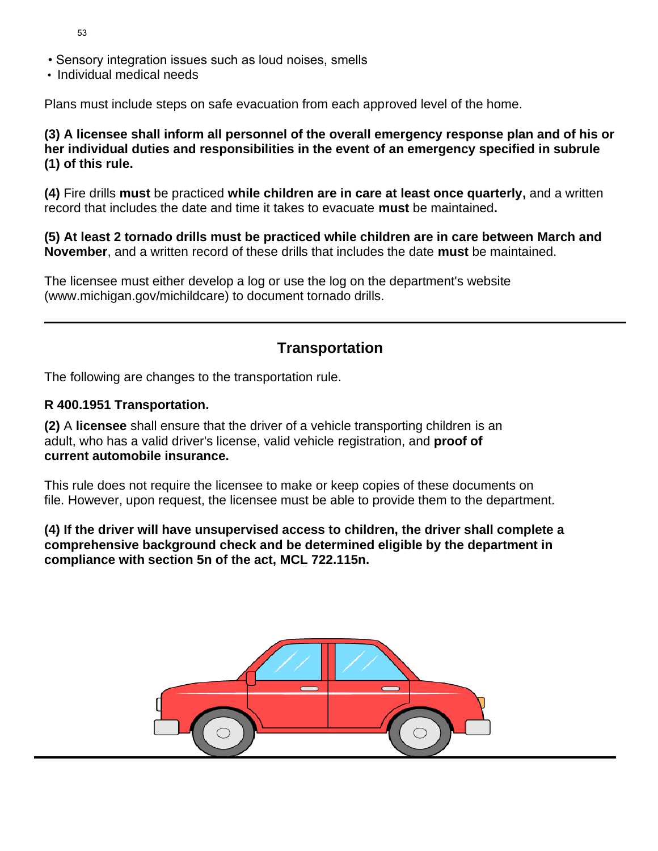- Sensory integration issues such as loud noises, smells
- Individual medical needs

Plans must include steps on safe evacuation from each approved level of the home.

**(3) A licensee shall inform all personnel of the overall emergency response plan and of his or her individual duties and responsibilities in the event of an emergency specified in subrule (1) of this rule.** 

**(4)** Fire drills **must** be practiced **while children are in care at least once quarterly,** and a written record that includes the date and time it takes to evacuate **must** be maintained**.**

**(5) At least 2 tornado drills must be practiced while children are in care between March and November**, and a written record of these drills that includes the date **must** be maintained.

The licensee must either develop a log or use the log on the department's website (www.michigan.gov/michildcare) to document tornado drills.

# **Transportation**

The following are changes to the transportation rule.

### **R 400.1951 Transportation.**

**(2)** A **licensee** shall ensure that the driver of a vehicle transporting children is an adult, who has a valid driver's license, valid vehicle registration, and **proof of current automobile insurance.**

This rule does not require the licensee to make or keep copies of these documents on file. However, upon request, the licensee must be able to provide them to the department.

**(4) If the driver will have unsupervised access to children, the driver shall complete a comprehensive background check and be determined eligible by the department in compliance with section 5n of the act, MCL 722.115n.**

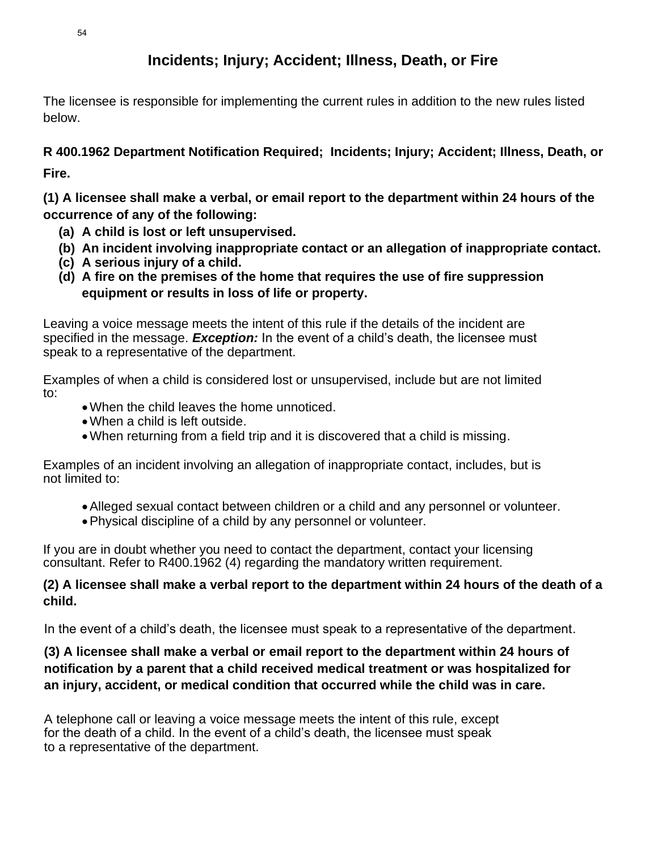### **Incidents; Injury; Accident; Illness, Death, or Fire**

The licensee is responsible for implementing the current rules in addition to the new rules listed below.

**R 400.1962 Department Notification Required; Incidents; Injury; Accident; Illness, Death, or Fire.**

**(1) A licensee shall make a verbal, or email report to the department within 24 hours of the occurrence of any of the following:**

- **(a) A child is lost or left unsupervised.**
- **(b) An incident involving inappropriate contact or an allegation of inappropriate contact.**
- **(c) A serious injury of a child.**
- **(d) A fire on the premises of the home that requires the use of fire suppression equipment or results in loss of life or property.**

Leaving a voice message meets the intent of this rule if the details of the incident are specified in the message. *Exception:* In the event of a child's death, the licensee must speak to a representative of the department.

Examples of when a child is considered lost or unsupervised, include but are not limited to:

- •When the child leaves the home unnoticed.
- When a child is left outside.
- •When returning from a field trip and it is discovered that a child is missing.

Examples of an incident involving an allegation of inappropriate contact, includes, but is not limited to:

- •Alleged sexual contact between children or a child and any personnel or volunteer.
- •Physical discipline of a child by any personnel or volunteer.

If you are in doubt whether you need to contact the department, contact your licensing consultant. Refer to R400.1962 (4) regarding the mandatory written requirement.

### **(2) A licensee shall make a verbal report to the department within 24 hours of the death of a child.**

In the event of a child's death, the licensee must speak to a representative of the department.

### **(3) A licensee shall make a verbal or email report to the department within 24 hours of notification by a parent that a child received medical treatment or was hospitalized for an injury, accident, or medical condition that occurred while the child was in care.**

A telephone call or leaving a voice message meets the intent of this rule, except for the death of a child. In the event of a child's death, the licensee must speak to a representative of the department.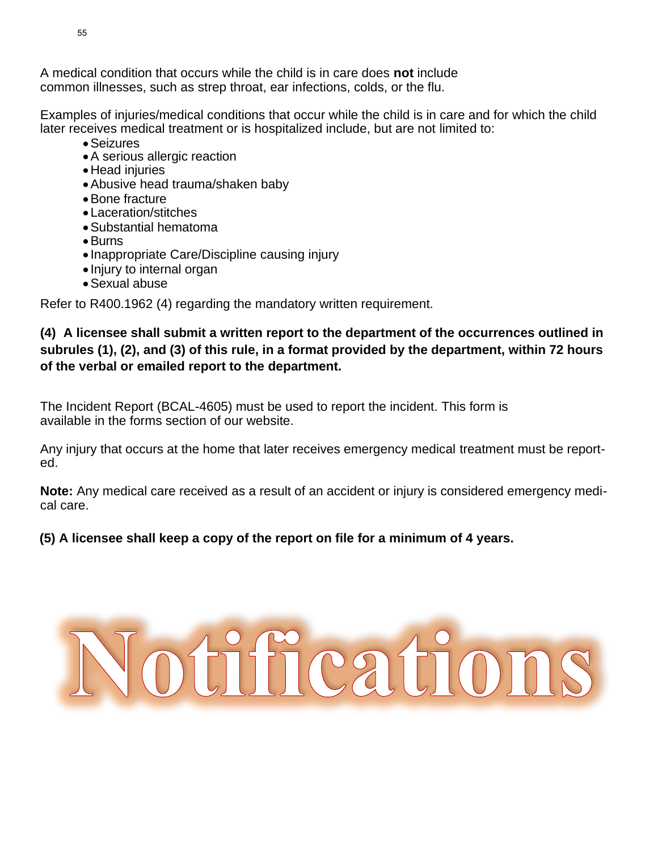A medical condition that occurs while the child is in care does **not** include common illnesses, such as strep throat, ear infections, colds, or the flu.

Examples of injuries/medical conditions that occur while the child is in care and for which the child later receives medical treatment or is hospitalized include, but are not limited to:

- •Seizures
- •A serious allergic reaction
- •Head injuries
- •Abusive head trauma/shaken baby
- •Bone fracture
- Laceration/stitches
- •Substantial hematoma
- •Burns
- Inappropriate Care/Discipline causing injury
- Injury to internal organ
- •Sexual abuse

Refer to R400.1962 (4) regarding the mandatory written requirement.

### **(4) A licensee shall submit a written report to the department of the occurrences outlined in subrules (1), (2), and (3) of this rule, in a format provided by the department, within 72 hours of the verbal or emailed report to the department.**

The Incident Report (BCAL-4605) must be used to report the incident. This form is available in the forms section of our website.

Any injury that occurs at the home that later receives emergency medical treatment must be reported.

**Note:** Any medical care received as a result of an accident or injury is considered emergency medical care.

### **(5) A licensee shall keep a copy of the report on file for a minimum of 4 years.**